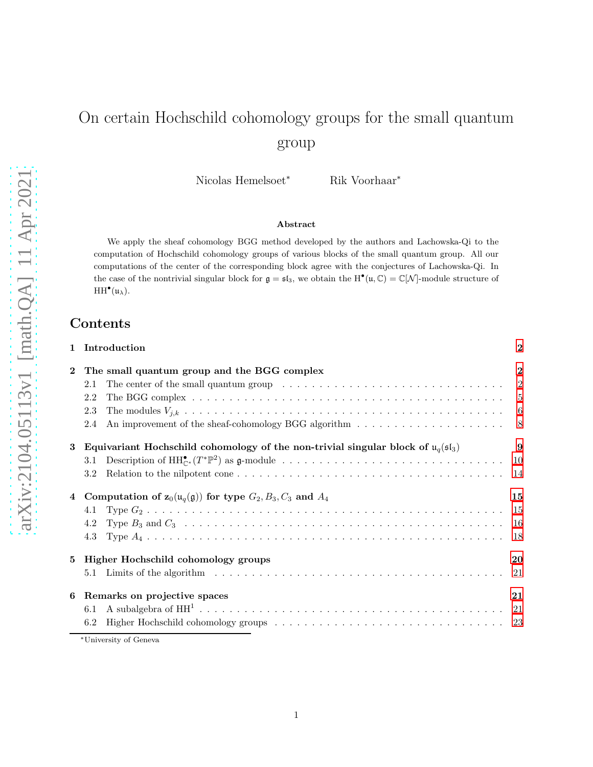# On certain Hochschild cohomology groups for the small quantum group

Nicolas Hemelsoet<sup>∗</sup> Rik Voorhaar<sup>∗</sup>

#### Abstract

We apply the sheaf cohomology BGG method developed by the authors and Lachowska-Qi to the computation of Hochschild cohomology groups of various blocks of the small quantum group. All our computations of the center of the corresponding block agree with the conjectures of Lachowska-Qi. In the case of the nontrivial singular block for  $\mathfrak{g} = \mathfrak{sl}_3$ , we obtain the  $H^{\bullet}(\mathfrak{u}, \mathbb{C}) = \mathbb{C}[\mathcal{N}]$ -module structure of  $HH<sup>•</sup>(u<sub>\lambda</sub>).$ 

## Contents

| Introduction<br>$\mathbf{1}$ |                                                                                                                        |              |  |  |  |  |  |  |  |
|------------------------------|------------------------------------------------------------------------------------------------------------------------|--------------|--|--|--|--|--|--|--|
| $\bf{2}$                     | The small quantum group and the BGG complex                                                                            | $\mathbf{2}$ |  |  |  |  |  |  |  |
|                              | The center of the small quantum group $\dots \dots \dots \dots \dots \dots \dots \dots \dots \dots \dots \dots$<br>2.1 | 2            |  |  |  |  |  |  |  |
|                              | 2.2                                                                                                                    |              |  |  |  |  |  |  |  |
|                              | 2.3                                                                                                                    | 6            |  |  |  |  |  |  |  |
|                              | 2.4                                                                                                                    | $8^{\circ}$  |  |  |  |  |  |  |  |
| 3                            | Equivariant Hochschild cohomology of the non-trivial singular block of $u_q(s_1)$                                      | 9            |  |  |  |  |  |  |  |
|                              | 3.1                                                                                                                    |              |  |  |  |  |  |  |  |
|                              | 3.2                                                                                                                    |              |  |  |  |  |  |  |  |
| $\overline{4}$               | Computation of $\mathbf{z}_0(\mathfrak{u}_q(\mathfrak{g}))$ for type $G_2, B_3, C_3$ and $A_4$                         |              |  |  |  |  |  |  |  |
|                              | 4.1                                                                                                                    | -15          |  |  |  |  |  |  |  |
|                              | 4.2                                                                                                                    | -16          |  |  |  |  |  |  |  |
|                              |                                                                                                                        | 18           |  |  |  |  |  |  |  |
| 5                            | Higher Hochschild cohomology groups                                                                                    | 20           |  |  |  |  |  |  |  |
|                              | 5.1                                                                                                                    |              |  |  |  |  |  |  |  |
| 6                            | Remarks on projective spaces                                                                                           | 21           |  |  |  |  |  |  |  |
|                              | 6.1                                                                                                                    |              |  |  |  |  |  |  |  |
|                              | 6.2                                                                                                                    |              |  |  |  |  |  |  |  |

<sup>∗</sup>University of Geneva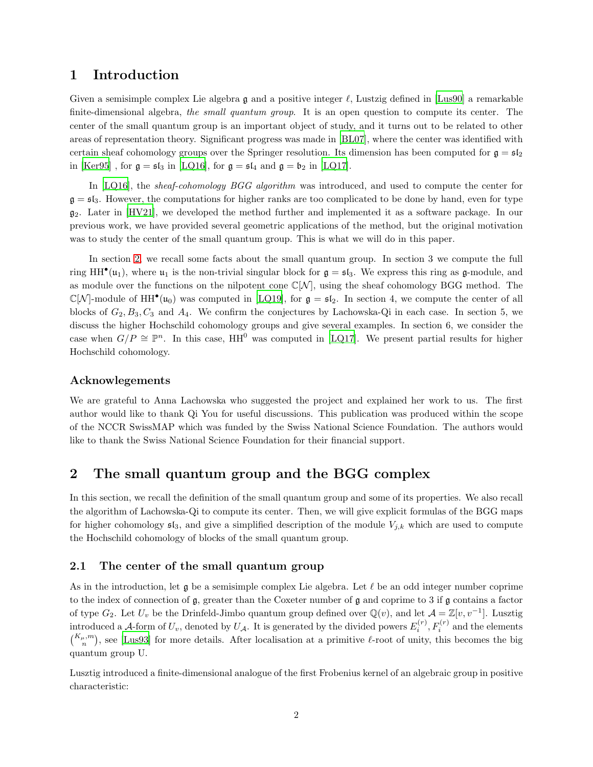## <span id="page-1-0"></span>1 Introduction

Given a semisimple complex Lie algebra  $\mathfrak g$  and a positive integer  $\ell$ , Lustzig defined in [\[Lus90\]](#page-24-0) a remarkable finite-dimensional algebra, the small quantum group. It is an open question to compute its center. The center of the small quantum group is an important object of study, and it turns out to be related to other areas of representation theory. Significant progress was made in [\[BL07](#page-24-1)], where the center was identified with certain sheaf cohomology groups over the Springer resolution. Its dimension has been computed for  $\mathfrak{g} = \mathfrak{sl}_2$ in [\[Ker95\]](#page-24-2) , for  $\mathfrak{g} = \mathfrak{sl}_3$  in [\[LQ16\]](#page-24-3), for  $\mathfrak{g} = \mathfrak{sl}_4$  and  $\mathfrak{g} = \mathfrak{b}_2$  in [\[LQ17\]](#page-24-4).

In [\[LQ16\]](#page-24-3), the *sheaf-cohomology BGG algorithm* was introduced, and used to compute the center for  $\mathfrak{g} = \mathfrak{sl}_3$ . However, the computations for higher ranks are too complicated to be done by hand, even for type  $g_2$ . Later in [\[HV21\]](#page-24-5), we developed the method further and implemented it as a software package. In our previous work, we have provided several geometric applications of the method, but the original motivation was to study the center of the small quantum group. This is what we will do in this paper.

In section [2,](#page-1-1) we recall some facts about the small quantum group. In section 3 we compute the full ring HH<sup>•</sup>( $u_1$ ), where  $u_1$  is the non-trivial singular block for  $g = \mathfrak{sl}_3$ . We express this ring as  $g$ -module, and as module over the functions on the nilpotent cone  $\mathbb{C}[\mathcal{N}]$ , using the sheaf cohomology BGG method. The  $\mathbb{C}[\mathcal{N}]$ -module of HH<sup>•</sup>(u<sub>0</sub>) was computed in [\[LQ19\]](#page-24-6), for  $\mathfrak{g} = \mathfrak{sl}_2$ . In section 4, we compute the center of all blocks of  $G_2, B_3, C_3$  and  $A_4$ . We confirm the conjectures by Lachowska-Qi in each case. In section 5, we discuss the higher Hochschild cohomology groups and give several examples. In section 6, we consider the case when  $G/P \cong \mathbb{P}^n$ . In this case,  $HH^0$  was computed in [\[LQ17\]](#page-24-4). We present partial results for higher Hochschild cohomology.

#### Acknowlegements

We are grateful to Anna Lachowska who suggested the project and explained her work to us. The first author would like to thank Qi You for useful discussions. This publication was produced within the scope of the NCCR SwissMAP which was funded by the Swiss National Science Foundation. The authors would like to thank the Swiss National Science Foundation for their financial support.

## <span id="page-1-1"></span>2 The small quantum group and the BGG complex

In this section, we recall the definition of the small quantum group and some of its properties. We also recall the algorithm of Lachowska-Qi to compute its center. Then, we will give explicit formulas of the BGG maps for higher cohomology  $\mathfrak{sl}_3$ , and give a simplified description of the module  $V_{j,k}$  which are used to compute the Hochschild cohomology of blocks of the small quantum group.

#### <span id="page-1-2"></span>2.1 The center of the small quantum group

As in the introduction, let  $\mathfrak g$  be a semisimple complex Lie algebra. Let  $\ell$  be an odd integer number coprime to the index of connection of g, greater than the Coxeter number of g and coprime to 3 if g contains a factor of type  $G_2$ . Let  $U_v$  be the Drinfeld-Jimbo quantum group defined over  $\mathbb{Q}(v)$ , and let  $\mathcal{A} = \mathbb{Z}[v, v^{-1}]$ . Lusztig introduced a A-form of  $U_v$ , denoted by  $U_A$ . It is generated by the divided powers  $E_i^{(r)}$  $f_i^{(r)}$ ,  $F_i^{(r)}$  and the elements  $\binom{K_{\mu},m}{n}$ , see [\[Lus93](#page-24-7)] for more details. After localisation at a primitive  $\ell$ -root of unity, this becomes the big quantum group U.

Lusztig introduced a finite-dimensional analogue of the first Frobenius kernel of an algebraic group in positive characteristic: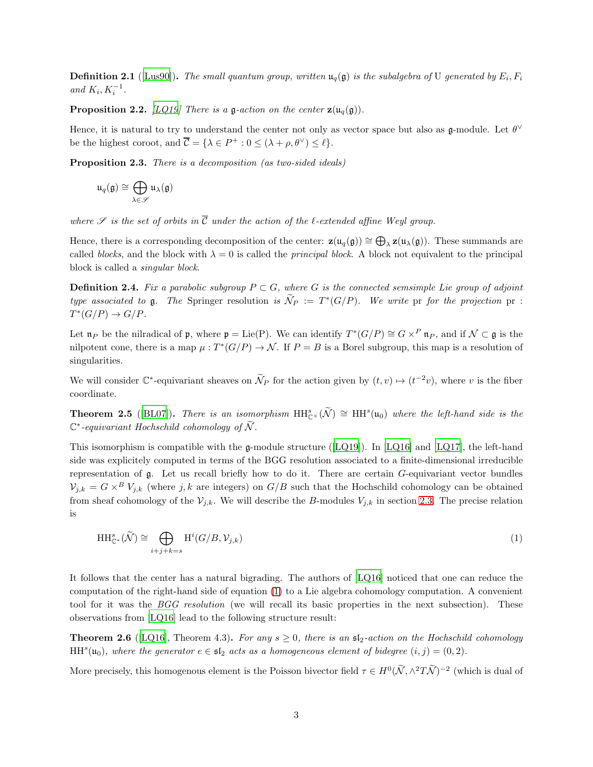**Definition 2.1** ([\[Lus90\]](#page-24-0)). The small quantum group, written  $\mathfrak{u}_q(\mathfrak{g})$  is the subalgebra of U generated by  $E_i$ ,  $F_i$ and  $K_i, K_i^{-1}$ .

**Proposition 2.2.** [\[LQ19\]](#page-24-6) There is a g-action on the center  $\mathbf{z}(\mathbf{u}_q(\mathfrak{g}))$ .

Hence, it is natural to try to understand the center not only as vector space but also as  $\mathfrak{g}\text{-module}$ . Let  $\theta^{\vee}$ be the highest coroot, and  $\overline{C} = {\lambda \in P^+ : 0 \leq (\lambda + \rho, \theta^{\vee}) \leq \ell}.$ 

Proposition 2.3. There is a decomposition (as two-sided ideals)

$$
\mathfrak{u}_q(\mathfrak{g})\cong\bigoplus_{\lambda\in\mathscr{S}}\mathfrak{u}_\lambda(\mathfrak{g})
$$

where  $\mathscr S$  is the set of orbits in  $\overline{\mathcal{C}}$  under the action of the l-extended affine Weyl group.

Hence, there is a corresponding decomposition of the center:  $\mathbf{z}(\mathfrak{u}_q(\mathfrak{g})) \cong \bigoplus_{\lambda} \mathbf{z}(\mathfrak{u}_{\lambda}(\mathfrak{g}))$ . These summands are called blocks, and the block with  $\lambda = 0$  is called the *principal block*. A block not equivalent to the principal block is called a singular block.

**Definition 2.4.** Fix a parabolic subgroup  $P \subset G$ , where G is the connected semsimple Lie group of adjoint type associated to g. The Springer resolution is  $N_P := T^*(G/P)$ . We write pr for the projection pr :  $T^*(G/P) \to G/P.$ 

Let  $\mathfrak{n}_P$  be the nilradical of  $\mathfrak{p}$ , where  $\mathfrak{p} = \text{Lie}(P)$ . We can identify  $T^*(G/P) \cong G \times^P \mathfrak{n}_P$ , and if  $\mathcal{N} \subset \mathfrak{g}$  is the nilpotent cone, there is a map  $\mu: T^*(G/P) \to \mathcal{N}$ . If  $P = B$  is a Borel subgroup, this map is a resolution of singularities.

We will consider  $\mathbb{C}^*$ -equivariant sheaves on  $\tilde{\mathcal{N}}_P$  for the action given by  $(t, v) \mapsto (t^{-2}v)$ , where v is the fiber coordinate.

**Theorem 2.5** ([\[BL07\]](#page-24-1)). There is an isomorphism  $HH_{\mathbb{C}^{\times}}^s(\widetilde{\mathcal{N}}) \cong HH^s(\mathfrak{u}_0)$  where the left-hand side is the  $\mathbb{C}^*$ -equivariant Hochschild cohomology of  $\widetilde{\mathcal{N}}$ .

Thisisomorphism is compatible with the g-module structure ( $[LQ19]$  $[LQ19]$ ). In  $[LQ16]$  and  $[LQ17]$ , the left-hand side was explicitely computed in terms of the BGG resolution associated to a finite-dimensional irreducible representation of g. Let us recall briefly how to do it. There are certain G-equivariant vector bundles  $V_{j,k} = G \times^B V_{j,k}$  (where j, k are integers) on  $G/B$  such that the Hochschild cohomology can be obtained from sheaf cohomology of the  $\mathcal{V}_{i,k}$ . We will describe the B-modules  $V_{i,k}$  in section [2.3.](#page-5-0) The precise relation is

<span id="page-2-0"></span>
$$
\mathrm{HH}_{\mathbb{C}^*}^s(\widetilde{\mathcal{N}}) \cong \bigoplus_{i+j+k=s} \mathrm{H}^i(G/B, \mathcal{V}_{j,k})
$$
\n
$$
(1)
$$

It follows that the center has a natural bigrading. The authors of [\[LQ16](#page-24-3)] noticed that one can reduce the computation of the right-hand side of equation [\(1\)](#page-2-0) to a Lie algebra cohomology computation. A convenient tool for it was the BGG resolution (we will recall its basic properties in the next subsection). These observations from [\[LQ16](#page-24-3)] lead to the following structure result:

**Theorem 2.6** ([\[LQ16](#page-24-3)], Theorem 4.3). For any  $s \geq 0$ , there is an  $\mathfrak{sl}_2$ -action on the Hochschild cohomology  $HH<sup>s</sup>(u<sub>0</sub>)$ , where the generator  $e \in \mathfrak{sl}_2$  acts as a homogeneous element of bidegree  $(i, j) = (0, 2)$ .

More precisely, this homogenous element is the Poisson bivector field  $\tau \in H^0(\tilde{\mathcal{N}}, \wedge^2 T\tilde{\mathcal{N}})^{-2}$  (which is dual of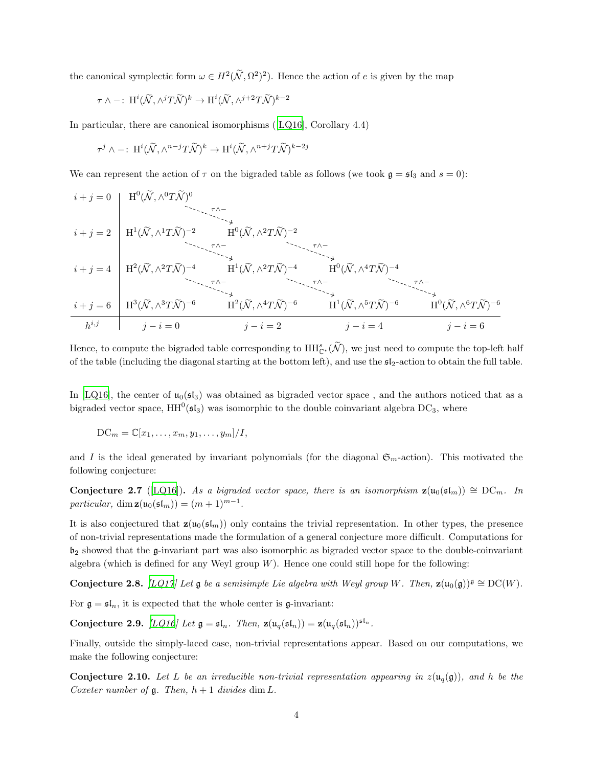the canonical symplectic form  $\omega \in H^2(\tilde{\mathcal{N}}, \Omega^2)^2$ . Hence the action of e is given by the map

$$
\tau \wedge -\colon \operatorname{H}^i(\widetilde{\mathcal{N}}, \wedge^j T \widetilde{\mathcal{N}})^k \to \operatorname{H}^i(\widetilde{\mathcal{N}}, \wedge^{j+2} T \widetilde{\mathcal{N}})^{k-2}
$$

In particular, there are canonical isomorphisms([\[LQ16\]](#page-24-3), Corollary 4.4)

$$
\tau^j \wedge -\colon\operatorname{H}^i(\widetilde{\mathcal{N}},\wedge^{n-j}T\widetilde{\mathcal{N}})^k \to \operatorname{H}^i(\widetilde{\mathcal{N}},\wedge^{n+j}T\widetilde{\mathcal{N}})^{k-2j}
$$

We can represent the action of  $\tau$  on the bigraded table as follows (we took  $\mathfrak{g} = \mathfrak{sl}_3$  and  $s = 0$ ):

$$
i + j = 0
$$
\n
$$
i + j = 2
$$
\n
$$
i + j = 4
$$
\n
$$
i + j = 6
$$
\n
$$
H^{3}(\widetilde{N}, \wedge^{3}T\widetilde{N})^{-6}
$$
\n
$$
i + j = 6
$$
\n
$$
i + j = 6
$$
\n
$$
H^{3}(\widetilde{N}, \wedge^{3}T\widetilde{N})^{-6}
$$
\n
$$
i + j = 2
$$
\n
$$
i + j = 2
$$
\n
$$
i + j = 6
$$
\n
$$
i + j = 6
$$
\n
$$
i + j = 6
$$
\n
$$
i + j = 6
$$
\n
$$
i + j = 6
$$
\n
$$
i + j = 6
$$
\n
$$
i + j = 6
$$
\n
$$
i + j = 6
$$
\n
$$
i + j = 6
$$
\n
$$
i + j = 6
$$
\n
$$
i + j = 6
$$
\n
$$
i + j = 6
$$
\n
$$
i + j = 6
$$
\n
$$
i + j = 6
$$
\n
$$
i + j = 6
$$
\n
$$
i + j = 6
$$
\n
$$
i + j = 6
$$
\n
$$
i + j = 6
$$
\n
$$
i + j = 6
$$
\n
$$
i + j = 6
$$
\n
$$
i + j = 6
$$
\n
$$
i + j = 6
$$
\n
$$
i + j = 6
$$
\n
$$
i + j = 6
$$
\n
$$
i + j = 6
$$
\n
$$
i + j = 6
$$
\n
$$
i + j = 6
$$
\n
$$
i + j = 6
$$
\n
$$
i + j = 6
$$
\n
$$
i + j = 6
$$
\n
$$
i + j = 6
$$
\n
$$
i + j = 6
$$
\n
$$
i + j = 6
$$
\n
$$
i + j = 6
$$
\n
$$
i + j = 6
$$
\n $$ 

Hence, to compute the bigraded table corresponding to  $HH_{\mathbb{C}^*}^s(\widetilde{\mathcal{N}})$ , we just need to compute the top-left half of the table (including the diagonal starting at the bottom left), and use the  $5l_2$ -action to obtain the full table.

In [\[LQ16\]](#page-24-3), the center of  $\mu_0(\mathfrak{sl}_3)$  was obtained as bigraded vector space, and the authors noticed that as a bigraded vector space,  $HH^0(\mathfrak{sl}_3)$  was isomorphic to the double coinvariant algebra DC<sub>3</sub>, where

$$
\mathrm{DC}_m = \mathbb{C}[x_1, \ldots, x_m, y_1, \ldots, y_m]/I,
$$

and I is the ideal generated by invariant polynomials (for the diagonal  $\mathfrak{S}_m$ -action). This motivated the following conjecture:

**Conjecture 2.7** ([\[LQ16](#page-24-3)]). As a bigraded vector space, there is an isomorphism  $z(u_0(sI_m)) \cong DC_m$ . In particular,  $\dim \mathbf{z}(\mathfrak{u}_0(\mathfrak{sl}_m)) = (m+1)^{m-1}.$ 

It is also conjectured that  $\mathbf{z}(\mathfrak{u}_0(\mathfrak{sl}_m))$  only contains the trivial representation. In other types, the presence of non-trivial representations made the formulation of a general conjecture more difficult. Computations for  $\mathfrak{b}_2$  showed that the g-invariant part was also isomorphic as bigraded vector space to the double-coinvariant algebra (which is defined for any Weyl group  $W$ ). Hence one could still hope for the following:

<span id="page-3-0"></span>**Conjecture 2.8.** [\[LQ17](#page-24-4)] Let g be a semisimple Lie algebra with Weyl group W. Then,  $\mathbf{z}(\mathbf{u}_0(\mathfrak{g}))^{\mathfrak{g}} \cong \mathrm{DC}(W)$ .

<span id="page-3-1"></span>For  $\mathfrak{g} = \mathfrak{sl}_n$ , it is expected that the whole center is  $\mathfrak{g}$ -invariant:

Conjecture 2.9. [\[LQ16\]](#page-24-3) Let  $\mathfrak{g} = \mathfrak{sl}_n$ . Then,  $\mathbf{z}(\mathfrak{u}_q(\mathfrak{sl}_n)) = \mathbf{z}(\mathfrak{u}_q(\mathfrak{sl}_n))^{\mathfrak{sl}_n}$ .

Finally, outside the simply-laced case, non-trivial representations appear. Based on our computations, we make the following conjecture:

**Conjecture 2.10.** Let L be an irreducible non-trivial representation appearing in  $z(\mathfrak{u}_q(\mathfrak{g}))$ , and h be the Coxeter number of  $\mathfrak g$ . Then,  $h+1$  divides dim L.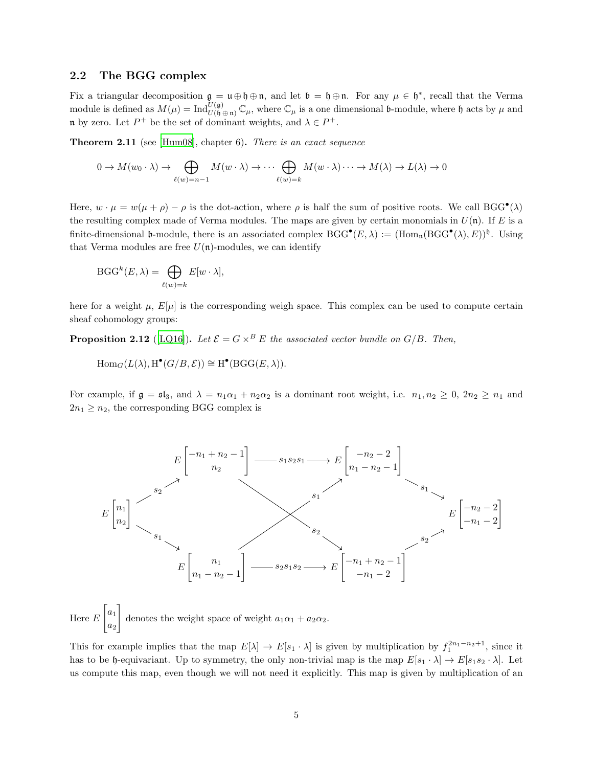#### <span id="page-4-0"></span>2.2 The BGG complex

Fix a triangular decomposition  $\mathfrak{g} = \mathfrak{u} \oplus \mathfrak{h} \oplus \mathfrak{n}$ , and let  $\mathfrak{b} = \mathfrak{h} \oplus \mathfrak{n}$ . For any  $\mu \in \mathfrak{h}^*$ , recall that the Verma module is defined as  $M(\mu) = \text{Ind}_{U(\mathfrak{h} \oplus \mathfrak{n})}^{U(\mathfrak{g})} \mathbb{C}_{\mu}$ , where  $\mathbb{C}_{\mu}$  is a one dimensional **b**-module, where  $\mathfrak{h}$  acts by  $\mu$  and n by zero. Let  $P^+$  be the set of dominant weights, and  $\lambda \in P^+$ .

Theorem 2.11 (see [\[Hum08\]](#page-24-8), chapter 6). There is an exact sequence

$$
0 \to M(w_0 \cdot \lambda) \to \bigoplus_{\ell(w)=n-1} M(w \cdot \lambda) \to \cdots \bigoplus_{\ell(w)=k} M(w \cdot \lambda) \cdots \to M(\lambda) \to L(\lambda) \to 0
$$

Here,  $w \cdot \mu = w(\mu + \rho) - \rho$  is the dot-action, where  $\rho$  is half the sum of positive roots. We call BGG<sup>•</sup>( $\lambda$ ) the resulting complex made of Verma modules. The maps are given by certain monomials in  $U(\mathfrak{n})$ . If E is a finite-dimensional b-module, there is an associated complex  $BGG^{\bullet}(E, \lambda) := (\text{Hom}_{\mathfrak{n}}(BGG^{\bullet}(\lambda), E))^{\mathfrak{h}}$ . Using that Verma modules are free  $U(\mathfrak{n})$ -modules, we can identify

$$
\text{BGG}^k(E,\lambda) = \bigoplus_{\ell(w)=k} E[w \cdot \lambda],
$$

here for a weight  $\mu$ ,  $E[\mu]$  is the corresponding weigh space. This complex can be used to compute certain sheaf cohomology groups:

**Proposition 2.12** ([\[LQ16\]](#page-24-3)). Let  $\mathcal{E} = G \times^B E$  the associated vector bundle on  $G/B$ . Then,

 $\text{Hom}_G(L(\lambda), \text{H}^{\bullet}(G/B, \mathcal{E})) \cong \text{H}^{\bullet}(\text{BGG}(E, \lambda)).$ 

For example, if  $\mathfrak{g} = \mathfrak{sl}_3$ , and  $\lambda = n_1 \alpha_1 + n_2 \alpha_2$  is a dominant root weight, i.e.  $n_1, n_2 \geq 0, 2n_2 \geq n_1$  and  $2n_1 \geq n_2$ , the corresponding BGG complex is



Here E  $\lceil a_1 \rceil$  $a_2$  $\overline{1}$ denotes the weight space of weight  $a_1\alpha_1 + a_2\alpha_2$ .

This for example implies that the map  $E[\lambda] \to E[s_1 \cdot \lambda]$  is given by multiplication by  $f_1^{2n_1-n_2+1}$ , since it has to be h-equivariant. Up to symmetry, the only non-trivial map is the map  $E[s_1 \cdot \lambda] \to E[s_1 s_2 \cdot \lambda]$ . Let us compute this map, even though we will not need it explicitly. This map is given by multiplication of an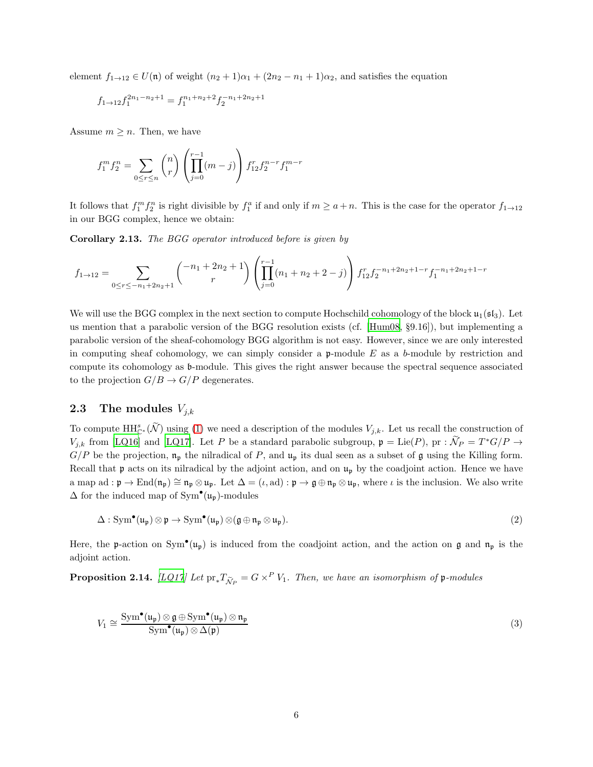element  $f_{1\rightarrow 12} \in U(\mathfrak{n})$  of weight  $(n_2 + 1)\alpha_1 + (2n_2 - n_1 + 1)\alpha_2$ , and satisfies the equation

$$
f_{1\rightarrow12}f_1^{2n_1-n_2+1}=f_1^{n_1+n_2+2}f_2^{-n_1+2n_2+1}
$$

Assume  $m \geq n$ . Then, we have

$$
f_1^m f_2^n = \sum_{0 \le r \le n} \binom{n}{r} \left( \prod_{j=0}^{r-1} (m-j) \right) f_{12}^r f_2^{n-r} f_1^{m-r}
$$

It follows that  $f_1^m f_2^n$  is right divisible by  $f_1^a$  if and only if  $m \ge a+n$ . This is the case for the operator  $f_{1\to 12}$ in our BGG complex, hence we obtain:

Corollary 2.13. The BGG operator introduced before is given by

$$
f_{1\to 12} = \sum_{0 \le r \le -n_1 + 2n_2 + 1} \binom{-n_1 + 2n_2 + 1}{r} \left( \prod_{j=0}^{r-1} (n_1 + n_2 + 2 - j) \right) f_{12}^r f_2^{-n_1 + 2n_2 + 1 - r} f_1^{-n_1 + 2n_2 + 1 - r}
$$

We will use the BGG complex in the next section to compute Hochschild cohomology of the block  $\mathfrak{u}_1(\mathfrak{sl}_3)$ . Let us mention that a parabolic version of the BGG resolution exists (cf. [\[Hum08,](#page-24-8) §9.16]), but implementing a parabolic version of the sheaf-cohomology BGG algorithm is not easy. However, since we are only interested in computing sheaf cohomology, we can simply consider a  $\mathfrak{p}\text{-module }E$  as a b-module by restriction and compute its cohomology as b-module. This gives the right answer because the spectral sequence associated to the projection  $G/B \to G/P$  degenerates.

#### <span id="page-5-0"></span>2.3 The modules  $V_{i,k}$

To compute  $\mathrm{HH}_{\mathbb{C}^*}^s(\widetilde{\mathcal{N}})$  using [\(1\)](#page-2-0) we need a description of the modules  $V_{j,k}$ . Let us recall the construction of  $V_{j,k}$  from [\[LQ16\]](#page-24-3) and [\[LQ17\]](#page-24-4). Let P be a standard parabolic subgroup,  $\mathfrak{p} = \text{Lie}(P)$ ,  $\text{pr} : \widetilde{\mathcal{N}}_P = T^*G/P \to$  $G/P$  be the projection,  $\mathfrak{n}_{\mathfrak{p}}$  the nilradical of P, and  $\mathfrak{u}_{\mathfrak{p}}$  its dual seen as a subset of g using the Killing form. Recall that **p** acts on its nilradical by the adjoint action, and on  $\mathfrak{u}_{\mathfrak{p}}$  by the coadjoint action. Hence we have a map ad :  $\mathfrak{p} \to \text{End}(\mathfrak{n}_{\mathfrak{p}}) \cong \mathfrak{n}_{\mathfrak{p}} \otimes \mathfrak{u}_{\mathfrak{p}}$ . Let  $\Delta = (\iota, \text{ad}) : \mathfrak{p} \to \mathfrak{g} \oplus \mathfrak{n}_{\mathfrak{p}} \otimes \mathfrak{u}_{\mathfrak{p}}$ , where  $\iota$  is the inclusion. We also write  $\Delta$  for the induced map of Sym<sup>•</sup>( $\mathfrak{u}_{\mathfrak{p}}$ )-modules

$$
\Delta: \operatorname{Sym}^{\bullet}(\mathfrak{u}_{\mathfrak{p}}) \otimes \mathfrak{p} \to \operatorname{Sym}^{\bullet}(\mathfrak{u}_{\mathfrak{p}}) \otimes (\mathfrak{g} \oplus \mathfrak{n}_{\mathfrak{p}} \otimes \mathfrak{u}_{\mathfrak{p}}).
$$
 (2)

Here, the p-action on Sym<sup>•</sup>( $u_p$ ) is induced from the coadjoint action, and the action on g and  $n_p$  is the adjoint action.

**Proposition 2.14.** [\[LQ17](#page-24-4)] Let  $pr_*T_{\tilde{\mathcal{N}}_P} = G \times^P V_1$ . Then, we have an isomorphism of p-modules

$$
V_1 \cong \frac{\text{Sym}^{\bullet}(\mathfrak{u}_{\mathfrak{p}}) \otimes \mathfrak{g} \oplus \text{Sym}^{\bullet}(\mathfrak{u}_{\mathfrak{p}}) \otimes \mathfrak{n}_{\mathfrak{p}}}{\text{Sym}^{\bullet}(\mathfrak{u}_{\mathfrak{p}}) \otimes \Delta(\mathfrak{p})}
$$
(3)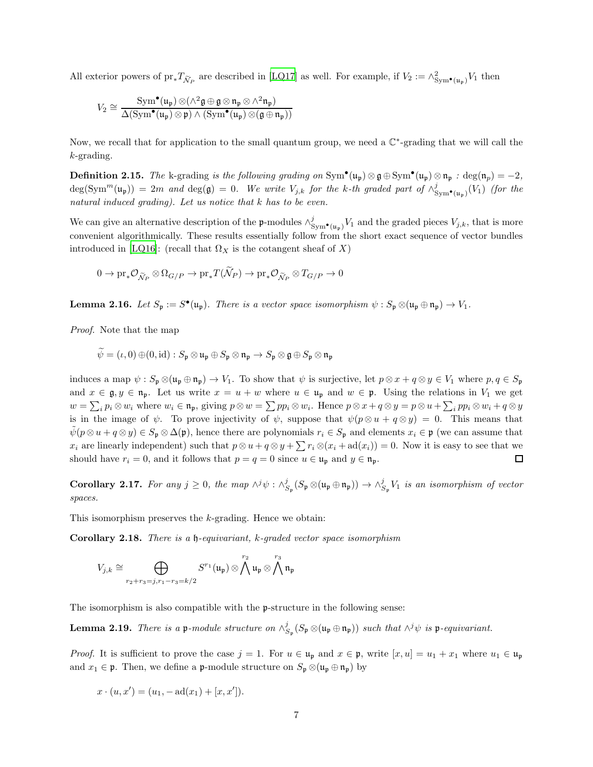All exterior powers of  $\text{pr}_{*}T_{\tilde{\mathcal{N}}_P}$  are described in [\[LQ17\]](#page-24-4) as well. For example, if  $V_2 := \wedge_{\text{Sym}^{\bullet}(\mathfrak{u}_{\mathfrak{p}})}^2 V_1$  then

$$
V_2\cong \frac{\mathrm{Sym}^{\bullet}(\mathfrak{u}_{\mathfrak{p}})\otimes (\wedge^2 \mathfrak{g}\oplus \mathfrak{g}\otimes \mathfrak{n}_{\mathfrak{p}}\otimes \wedge^2 \mathfrak{n}_{\mathfrak{p}})}{\Delta(\mathrm{Sym}^{\bullet}(\mathfrak{u}_{\mathfrak{p}})\otimes \mathfrak{p})\wedge (\mathrm{Sym}^{\bullet}(\mathfrak{u}_{\mathfrak{p}})\otimes (\mathfrak{g}\oplus \mathfrak{n}_{\mathfrak{p}}))}
$$

Now, we recall that for application to the small quantum group, we need a  $\mathbb{C}^*$ -grading that we will call the k-grading.

**Definition 2.15.** The k-grading is the following grading on  $Sym^{\bullet}(\mathfrak{u}_{\mathfrak{p}}) \otimes \mathfrak{g} \oplus Sym^{\bullet}(\mathfrak{u}_{\mathfrak{p}}) \otimes \mathfrak{n}_{\mathfrak{p}}$ : deg $(\mathfrak{n}_{p}) = -2$ ,  $deg(Sym<sup>m</sup>(u<sub>p</sub>)) = 2m$  and  $deg(\mathfrak{g}) = 0$ . We write  $V_{j,k}$  for the k-th graded part of  $\wedge^j_{Sym^{\bullet}(u_{\mathfrak{p}})}(V_1)$  (for the natural induced grading). Let us notice that k has to be even.

We can give an alternative description of the p-modules  $\wedge_{Sym^{\bullet}(u_{\mathfrak{p}})}^{j}V_1$  and the graded pieces  $V_{j,k}$ , that is more convenient algorithmically. These results essentially follow from the short exact sequence of vector bundles introduced in [\[LQ16](#page-24-3)]: (recall that  $\Omega_X$  is the cotangent sheaf of X)

$$
0 \to \text{pr}_{*}\mathcal{O}_{\widetilde{\mathcal{N}}_{P}} \otimes \Omega_{G/P} \to \text{pr}_{*}T(\widetilde{\mathcal{N}}_{P}) \to \text{pr}_{*}\mathcal{O}_{\widetilde{\mathcal{N}}_{P}} \otimes T_{G/P} \to 0
$$

<span id="page-6-1"></span>**Lemma 2.16.** Let  $S_p := S^{\bullet}(\mathfrak{u}_p)$ . There is a vector space isomorphism  $\psi : S_p \otimes (\mathfrak{u}_p \oplus \mathfrak{n}_p) \to V_1$ .

Proof. Note that the map

$$
\widetilde{\psi}=(\iota,0) \oplus (0,\mathrm{id}): S_{\mathfrak{p}} \otimes \mathfrak{u}_{\mathfrak{p}} \oplus S_{\mathfrak{p}} \otimes \mathfrak{n}_{\mathfrak{p}} \to S_{\mathfrak{p}} \otimes \mathfrak{g} \oplus S_{\mathfrak{p}} \otimes \mathfrak{n}_{\mathfrak{p}}
$$

induces a map  $\psi$  :  $S_p \otimes (\mathfrak{u}_p \oplus \mathfrak{n}_p) \to V_1$ . To show that  $\psi$  is surjective, let  $p \otimes x + q \otimes y \in V_1$  where  $p, q \in S_p$ and  $x \in \mathfrak{g}, y \in \mathfrak{n}_{p}$ . Let us write  $x = u + w$  where  $u \in \mathfrak{u}_{p}$  and  $w \in \mathfrak{p}$ . Using the relations in  $V_1$  we get  $w = \sum_i p_i \otimes w_i$  where  $w_i \in \mathfrak{n}_{\mathfrak{p}},$  giving  $p \otimes w = \sum pp_i \otimes w_i$ . Hence  $p \otimes x + q \otimes y = p \otimes u + \sum_i pp_i \otimes w_i + q \otimes y$ is in the image of  $\psi$ . To prove injectivity of  $\psi$ , suppose that  $\psi(p \otimes u + q \otimes y) = 0$ . This means that  $\psi(p \otimes u + q \otimes y) \in S_p \otimes \Delta(p)$ , hence there are polynomials  $r_i \in S_p$  and elements  $x_i \in \mathfrak{p}$  (we can assume that  $x_i$  are linearly independent) such that  $p \otimes u + q \otimes y + \sum r_i \otimes (x_i + \mathrm{ad}(x_i)) = 0$ . Now it is easy to see that we should have  $r_i = 0$ , and it follows that  $p = q = 0$  since  $u \in \mathfrak{u}_p$  and  $y \in \mathfrak{n}_p$ .  $\Box$ 

Corollary 2.17. For any  $j \geq 0$ , the map  $\wedge^j \psi : \wedge^j_{S_{\mathfrak{p}}} (S_{\mathfrak{p}} \otimes (\mathfrak{u}_{\mathfrak{p}} \oplus \mathfrak{n}_{\mathfrak{p}})) \to \wedge^j_{S_{\mathfrak{p}}} V_1$  is an isomorphism of vector spaces.

<span id="page-6-0"></span>This isomorphism preserves the k-grading. Hence we obtain:

Corollary 2.18. There is a h-equivariant, k-graded vector space isomorphism

$$
V_{j,k}\cong \bigoplus_{r_2+r_3=j, r_1-r_3=k/2} S^{r_1}(\mathfrak{u}_{\mathfrak{p}})\otimes \bigwedge^{r_2}\mathfrak{u}_{\mathfrak{p}}\otimes \bigwedge^{r_3}\mathfrak{n}_{\mathfrak{p}}
$$

The isomorphism is also compatible with the p-structure in the following sense:

**Lemma 2.19.** There is a p-module structure on  $\wedge_{S_{\mathfrak{p}}}^{j}(S_{\mathfrak{p}} \otimes (\mathfrak{u}_{\mathfrak{p}} \oplus \mathfrak{n}_{\mathfrak{p}}))$  such that  $\wedge^{j} \psi$  is p-equivariant.

*Proof.* It is sufficient to prove the case  $j = 1$ . For  $u \in \mathfrak{u}_{\mathfrak{p}}$  and  $x \in \mathfrak{p}$ , write  $[x, u] = u_1 + x_1$  where  $u_1 \in \mathfrak{u}_{\mathfrak{p}}$ and  $x_1 \in \mathfrak{p}$ . Then, we define a p-module structure on  $S_{\mathfrak{p}} \otimes (\mathfrak{u}_{\mathfrak{p}} \oplus \mathfrak{n}_{\mathfrak{p}})$  by

$$
x \cdot (u, x') = (u_1, -ad(x_1) + [x, x']).
$$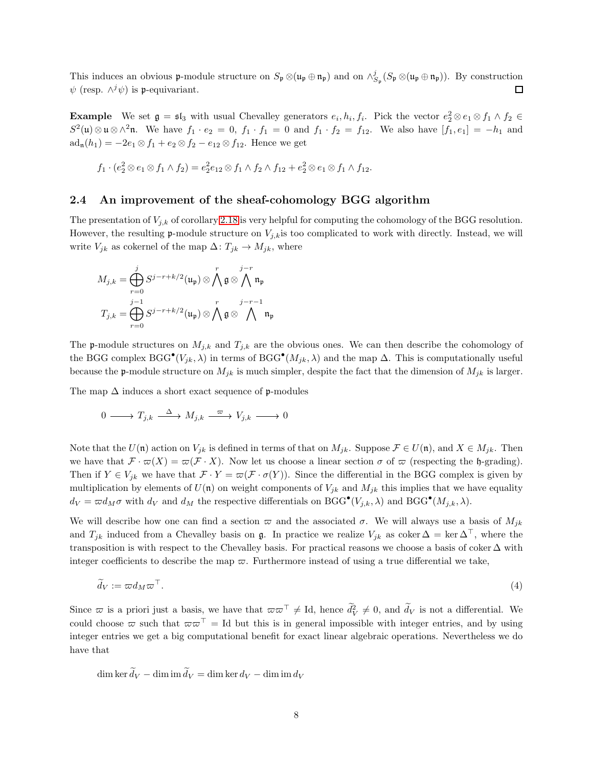This induces an obvious p-module structure on  $S_{\mathfrak{p}} \otimes (\mathfrak{u}_{\mathfrak{p}} \oplus \mathfrak{n}_{\mathfrak{p}})$  and on  $\wedge^j_{S_{\mathfrak{p}}} (S_{\mathfrak{p}} \otimes (\mathfrak{u}_{\mathfrak{p}} \oplus \mathfrak{n}_{\mathfrak{p}}))$ . By construction  $\psi$  (resp.  $\wedge^j \psi$ ) is p-equivariant.  $\Box$ 

**Example** We set  $\mathfrak{g} = \mathfrak{sl}_3$  with usual Chevalley generators  $e_i, h_i, f_i$ . Pick the vector  $e_2^2 \otimes e_1 \otimes f_1 \wedge f_2 \in$  $S^2(\mathfrak{u})\otimes\mathfrak{u}\otimes\wedge^2\mathfrak{n}$ . We have  $f_1 \cdot e_2 = 0$ ,  $f_1 \cdot f_1 = 0$  and  $f_1 \cdot f_2 = f_{12}$ . We also have  $[f_1, e_1] = -h_1$  and  $ad_{n}(h_{1}) = -2e_{1} \otimes f_{1} + e_{2} \otimes f_{2} - e_{12} \otimes f_{12}$ . Hence we get

$$
f_1 \cdot (e_2^2 \otimes e_1 \otimes f_1 \wedge f_2) = e_2^2 e_{12} \otimes f_1 \wedge f_2 \wedge f_{12} + e_2^2 \otimes e_1 \otimes f_1 \wedge f_{12}.
$$

#### <span id="page-7-0"></span>2.4 An improvement of the sheaf-cohomology BGG algorithm

The presentation of  $V_{j,k}$  of corollary [2.18](#page-6-0) is very helpful for computing the cohomology of the BGG resolution. However, the resulting **p**-module structure on  $V_{j,k}$  is too complicated to work with directly. Instead, we will write  $V_{jk}$  as cokernel of the map  $\Delta: T_{jk} \to M_{jk}$ , where

$$
M_{j,k} = \bigoplus_{r=0}^{j} S^{j-r+k/2}(\mathfrak{u}_{\mathfrak{p}}) \otimes \bigwedge^{r} \mathfrak{g} \otimes \bigwedge^{j-r} \mathfrak{n}_{\mathfrak{p}}
$$
  

$$
T_{j,k} = \bigoplus_{r=0}^{j-1} S^{j-r+k/2}(\mathfrak{u}_{\mathfrak{p}}) \otimes \bigwedge^{r} \mathfrak{g} \otimes \bigwedge^{j-r-1} \mathfrak{n}_{\mathfrak{p}}
$$

The **p**-module structures on  $M_{j,k}$  and  $T_{j,k}$  are the obvious ones. We can then describe the cohomology of the BGG complex  $BGG^{\bullet}(V_{jk},\lambda)$  in terms of  $BGG^{\bullet}(M_{jk},\lambda)$  and the map  $\Delta$ . This is computationally useful because the **p**-module structure on  $M_{jk}$  is much simpler, despite the fact that the dimension of  $M_{jk}$  is larger.

The map  $\Delta$  induces a short exact sequence of p-modules

$$
0 \longrightarrow T_{j,k} \longrightarrow M_{j,k} \xrightarrow{\varpi} V_{j,k} \longrightarrow 0
$$

Note that the  $U(\mathfrak{n})$  action on  $V_{jk}$  is defined in terms of that on  $M_{jk}$ . Suppose  $\mathcal{F} \in U(\mathfrak{n})$ , and  $X \in M_{jk}$ . Then we have that  $\mathcal{F} \cdot \overline{\omega}(X) = \overline{\omega}(\mathcal{F} \cdot X)$ . Now let us choose a linear section  $\sigma$  of  $\overline{\omega}$  (respecting the h-grading). Then if  $Y \in V_{jk}$  we have that  $\mathcal{F} \cdot Y = \varpi(\mathcal{F} \cdot \sigma(Y))$ . Since the differential in the BGG complex is given by multiplication by elements of  $U(\mathfrak{n})$  on weight components of  $V_{jk}$  and  $M_{jk}$  this implies that we have equality  $d_V = \varpi d_M \sigma$  with  $d_V$  and  $d_M$  the respective differentials on BGG<sup>•</sup>( $V_{j,k}, \lambda$ ) and BGG<sup>•</sup>( $M_{j,k}, \lambda$ ).

We will describe how one can find a section  $\varpi$  and the associated  $\sigma$ . We will always use a basis of  $M_{jk}$ and  $T_{jk}$  induced from a Chevalley basis on g. In practice we realize  $V_{jk}$  as coker  $\Delta = \ker \Delta^{\top}$ , where the transposition is with respect to the Chevalley basis. For practical reasons we choose a basis of coker  $\Delta$  with integer coefficients to describe the map  $\varpi$ . Furthermore instead of using a true differential we take,

$$
\widetilde{d}_V := \varpi d_M \varpi^\top. \tag{4}
$$

Since  $\bar{\omega}$  is a priori just a basis, we have that  $\bar{\omega}\bar{\omega}^{\top} \neq Id$ , hence  $\tilde{d}_V^2 \neq 0$ , and  $\tilde{d}_V$  is not a differential. We could choose  $\varpi$  such that  $\varpi \varpi^{\top} =$  Id but this is in general impossible with integer entries, and by using integer entries we get a big computational benefit for exact linear algebraic operations. Nevertheless we do have that

dim ker  $\tilde{d}_V$  – dim im  $\tilde{d}_V$  = dim ker  $d_V$  – dim im  $d_V$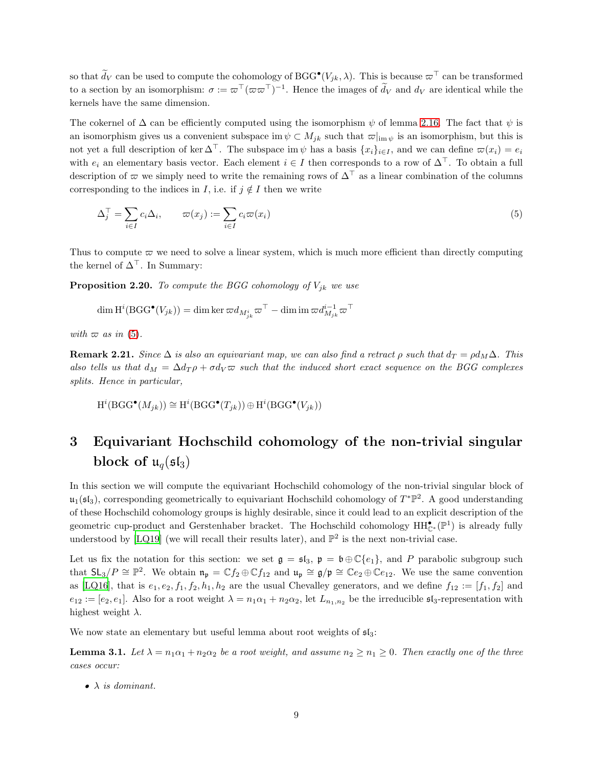so that  $\widetilde{d}_V$  can be used to compute the cohomology of BGG<sup>•</sup>( $V_{jk}, \lambda$ ). This is because  $\varpi^{\top}$  can be transformed to a section by an isomorphism:  $\sigma := \varpi^{T}(\varpi \varpi^{T})^{-1}$ . Hence the images of  $\tilde{d}_{V}$  and  $d_{V}$  are identical while the kernels have the same dimension.

The cokernel of  $\Delta$  can be efficiently computed using the isomorphism  $\psi$  of lemma [2.16.](#page-6-1) The fact that  $\psi$  is an isomorphism gives us a convenient subspace im  $\psi \subset M_{jk}$  such that  $\varpi|_{\text{im }\psi}$  is an isomorphism, but this is not yet a full description of ker  $\Delta^{\top}$ . The subspace im  $\psi$  has a basis  $\{x_i\}_{i\in I}$ , and we can define  $\varpi(x_i) = e_i$ with  $e_i$  an elementary basis vector. Each element  $i \in I$  then corresponds to a row of  $\Delta^{\top}$ . To obtain a full description of  $\varpi$  we simply need to write the remaining rows of  $\Delta^{\top}$  as a linear combination of the columns corresponding to the indices in I, i.e. if  $j \notin I$  then we write

<span id="page-8-1"></span>
$$
\Delta_j^\top = \sum_{i \in I} c_i \Delta_i, \qquad \varpi(x_j) := \sum_{i \in I} c_i \varpi(x_i) \tag{5}
$$

Thus to compute  $\varpi$  we need to solve a linear system, which is much more efficient than directly computing the kernel of  $\Delta^{\top}$ . In Summary:

**Proposition 2.20.** To compute the BGG cohomology of  $V_{jk}$  we use

$$
\dim \operatorname{H}^i(\mathrm{BGG}^\bullet(V_{jk})) = \dim \ker \varpi d_{M^i_{jk}} \varpi^\top - \dim \mathrm{im} \, \varpi d_{M_{jk}}^{i-1} \varpi^\top
$$

with  $\varpi$  as in [\(5\)](#page-8-1).

**Remark 2.21.** Since  $\Delta$  is also an equivariant map, we can also find a retract  $\rho$  such that  $d_T = \rho d_M \Delta$ . This also tells us that  $d_M = \Delta d_T \rho + \sigma d_V \varpi$  such that the induced short exact sequence on the BGG complexes splits. Hence in particular,

$$
H^i(BGG^\bullet(M_{jk})) \cong H^i(BGG^\bullet(T_{jk})) \oplus H^i(BGG^\bullet(V_{jk}))
$$

## <span id="page-8-0"></span>3 Equivariant Hochschild cohomology of the non-trivial singular block of  $\mathfrak{u}_q(\mathfrak{sl}_3)$

In this section we will compute the equivariant Hochschild cohomology of the non-trivial singular block of  $\mathfrak{u}_1(\mathfrak{sl}_3)$ , corresponding geometrically to equivariant Hochschild cohomology of  $T^*\mathbb{P}^2$ . A good understanding of these Hochschild cohomology groups is highly desirable, since it could lead to an explicit description of the geometric cup-product and Gerstenhaber bracket. The Hochschild cohomology  $HH_{\mathbb{C}^*}^{\bullet}(\mathbb{P}^1)$  is already fully understood by  $[LQ19]$  (we will recall their results later), and  $\mathbb{P}^2$  is the next non-trivial case.

Let us fix the notation for this section: we set  $\mathfrak{g} = \mathfrak{sl}_3$ ,  $\mathfrak{p} = \mathfrak{b} \oplus \mathbb{C}\{e_1\}$ , and P parabolic subgroup such that  $SL_3/P \cong \mathbb{P}^2$ . We obtain  $\mathfrak{n}_{\mathfrak{p}} = \mathbb{C} f_2 \oplus \mathbb{C} f_{12}$  and  $\mathfrak{u}_{\mathfrak{p}} \cong \mathfrak{g}/\mathfrak{p} \cong \mathbb{C} e_2 \oplus \mathbb{C} e_{12}$ . We use the same convention as [\[LQ16\]](#page-24-3), that is  $e_1, e_2, f_1, f_2, h_1, h_2$  are the usual Chevalley generators, and we define  $f_{12} := [f_1, f_2]$  and  $e_{12} := [e_2, e_1]$ . Also for a root weight  $\lambda = n_1 \alpha_1 + n_2 \alpha_2$ , let  $L_{n_1,n_2}$  be the irreducible  $\mathfrak{sl}_3$ -representation with highest weight  $\lambda$ .

<span id="page-8-2"></span>We now state an elementary but useful lemma about root weights of  $\mathfrak{sl}_3$ :

**Lemma 3.1.** Let  $\lambda = n_1 \alpha_1 + n_2 \alpha_2$  be a root weight, and assume  $n_2 \geq n_1 \geq 0$ . Then exactly one of the three cases occur:

 $\bullet$   $\lambda$  is dominant.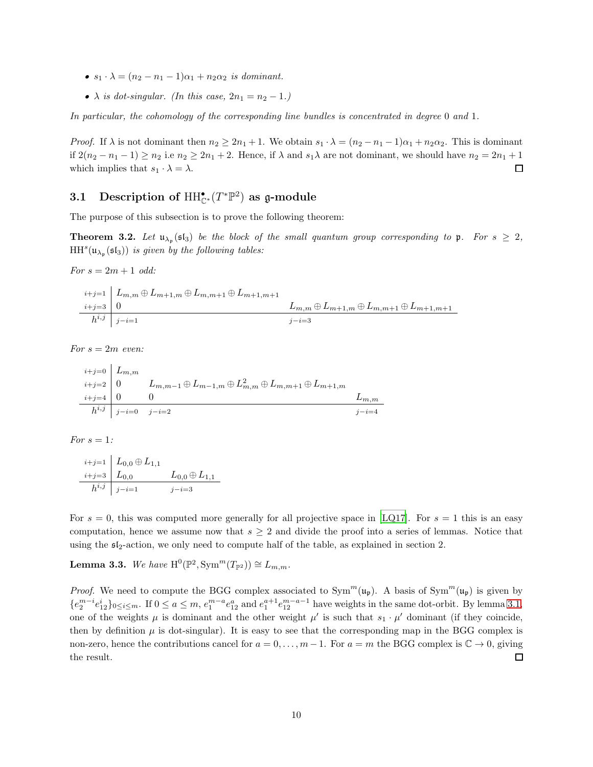- $s_1 \cdot \lambda = (n_2 n_1 1)\alpha_1 + n_2 \alpha_2$  is dominant.
- $\lambda$  is dot-singular. (In this case,  $2n_1 = n_2 1$ .)

In particular, the cohomology of the corresponding line bundles is concentrated in degree 0 and 1.

*Proof.* If  $\lambda$  is not dominant then  $n_2 \geq 2n_1 + 1$ . We obtain  $s_1 \cdot \lambda = (n_2 - n_1 - 1)\alpha_1 + n_2 \alpha_2$ . This is dominant if  $2(n_2 - n_1 - 1) \ge n_2$  i.e  $n_2 \ge 2n_1 + 2$ . Hence, if  $\lambda$  and  $s_1\lambda$  are not dominant, we should have  $n_2 = 2n_1 + 1$ which implies that  $s_1 \cdot \lambda = \lambda$ . □

## <span id="page-9-0"></span>3.1 Description of  $\mathrm{HH}_{\mathbb{C}^*}^{\bullet}(T^*\mathbb{P}^2)$  as g-module

<span id="page-9-2"></span>The purpose of this subsection is to prove the following theorem:

**Theorem 3.2.** Let  $\mathfrak{u}_{\lambda_{p}}(\mathfrak{sl}_{3})$  be the block of the small quantum group corresponding to  $\mathfrak{p}$ . For  $s \geq 2$ ,  $HH<sup>s</sup>(\mathfrak{u}_{\lambda_{\mathfrak{p}}}(\mathfrak{sl}_3))$  is given by the following tables:

For  $s = 2m + 1$  odd:

$$
\begin{array}{c|c} i+j=1 & L_{m,m} \oplus L_{m+1,m} \oplus L_{m,m+1} \oplus L_{m+1,m+1} \\ \hline i+j=3 & 0 & L_{m,m} \oplus L_{m+1,m} \oplus L_{m,m+1} \oplus L_{m+1,m+1} \\ \hline h^{i,j} & j-i=1 & j-i=3 \end{array}
$$

For  $s=2m$  even:

$$
\begin{array}{ll}\n i+j=0 & L_{m,m} \\
 i+j=2 & 0 & L_{m,m-1} \oplus L_{m-1,m} \oplus L_{m,m}^2 \oplus L_{m,m+1} \oplus L_{m+1,m} \\
 i+j=4 & 0 & 0 & L_{m,m} \\
 h^{i,j} & j-i=0 & j-i=2 & j-i=4\n\end{array}
$$

For  $s=1$ :

$$
\begin{array}{ll}\n i+j=1 & L_{0,0} \oplus L_{1,1} \\
 i+j=3 & L_{0,0} \\
 h^{i,j} & j-i=1\n\end{array}\n\quad\n\begin{array}{ll}\n L_{0,0} \oplus L_{1,1} \\
 L_{0,0} \oplus L_{1,1}\n\end{array}
$$

For  $s = 0$ , this was computed more generally for all projective space in [\[LQ17\]](#page-24-4). For  $s = 1$  this is an easy computation, hence we assume now that  $s \geq 2$  and divide the proof into a series of lemmas. Notice that using the  $\mathfrak{sl}_2$ -action, we only need to compute half of the table, as explained in section 2.

**Lemma 3.3.** We have  $H^0(\mathbb{P}^2, \text{Sym}^m(T_{\mathbb{P}^2})) \cong L_{m,m}$ .

<span id="page-9-1"></span>*Proof.* We need to compute the BGG complex associated to  $Sym^m(\mathfrak{u}_{\mathfrak{p}})$ . A basis of  $Sym^m(\mathfrak{u}_{\mathfrak{p}})$  is given by  ${e_2^{m-i}e_{12}^i}_{0 \leq i \leq m}$ . If  $0 \leq a \leq m$ ,  $e_1^{m-a}e_{12}^a$  and  $e_1^{a+1}e_{12}^{m-a-1}$  have weights in the same dot-orbit. By lemma [3.1,](#page-8-2) one of the weights  $\mu$  is dominant and the other weight  $\mu'$  is such that  $s_1 \cdot \mu'$  dominant (if they coincide, then by definition  $\mu$  is dot-singular). It is easy to see that the corresponding map in the BGG complex is non-zero, hence the contributions cancel for  $a = 0, \ldots, m-1$ . For  $a = m$  the BGG complex is  $\mathbb{C} \to 0$ , giving the result.  $\Box$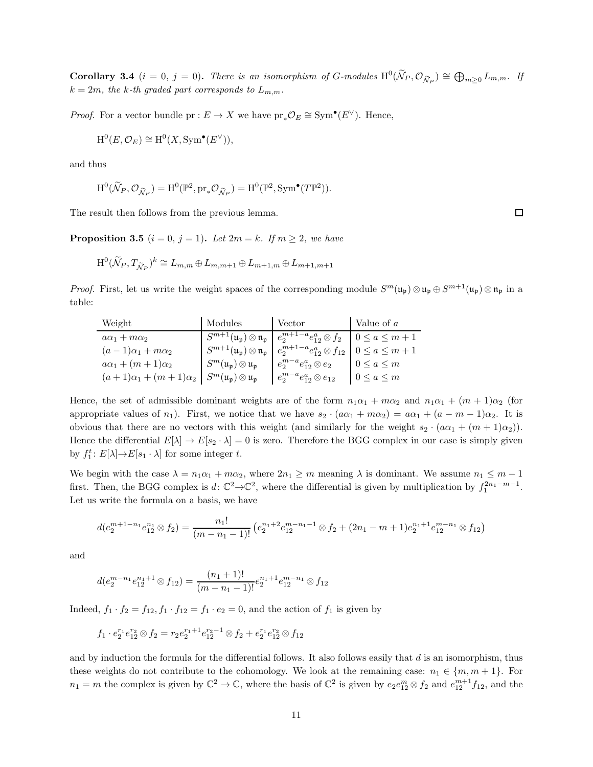**Corollary 3.4**  $(i = 0, j = 0)$ . There is an isomorphism of G-modules  $H^0(\widetilde{N}_P, \mathcal{O}_{\widetilde{N}_P}) \cong \bigoplus_{m \geq 0} L_{m,m}$ . If  $k = 2m$ , the k-th graded part corresponds to  $L_{m,m}$ .

*Proof.* For a vector bundle  $pr: E \to X$  we have  $pr_*\mathcal{O}_E \cong \text{Sym}^{\bullet}(E^{\vee})$ . Hence,

$$
\mathrm{H}^0(E, \mathcal{O}_E) \cong \mathrm{H}^0(X, \mathrm{Sym}^\bullet(E^\vee)),
$$

and thus

$$
\mathrm{H}^{0}(\widetilde{\mathcal{N}}_{P}, \mathcal{O}_{\widetilde{\mathcal{N}}_{P}}) = \mathrm{H}^{0}(\mathbb{P}^{2}, \mathrm{pr}_{*}\mathcal{O}_{\widetilde{\mathcal{N}}_{P}}) = \mathrm{H}^{0}(\mathbb{P}^{2}, \mathrm{Sym}^{\bullet}(T\mathbb{P}^{2})).
$$

The result then follows from the previous lemma.

**Proposition 3.5**  $(i = 0, j = 1)$ . Let  $2m = k$ . If  $m \ge 2$ , we have

$$
\mathrm H^{0}(\widetilde{\mathcal N}_P, T_{\widetilde{\mathcal N}_P})^{k} \cong L_{m,m} \oplus L_{m,m+1} \oplus L_{m+1,m} \oplus L_{m+1,m+1}
$$

*Proof.* First, let us write the weight spaces of the corresponding module  $S^m(\mathfrak{u}_{\mathfrak{p}}) \otimes \mathfrak{u}_{\mathfrak{p}} \oplus S^{m+1}(\mathfrak{u}_{\mathfrak{p}}) \otimes \mathfrak{n}_{\mathfrak{p}}$  in a table:

| Weight                          | Modules                                                                   | Vector                                                                                                                                | Value of $a$      |
|---------------------------------|---------------------------------------------------------------------------|---------------------------------------------------------------------------------------------------------------------------------------|-------------------|
| $a\alpha_1 + m\alpha_2$         |                                                                           | $S^{m+1}(\mathfrak{u}_{\mathfrak{p}}) \otimes \mathfrak{n}_{\mathfrak{p}} \mid e_2^{m+1-a} e_{12}^a \otimes f_2 \mid 0 \le a \le m+1$ |                   |
| $(a-1)\alpha_1+m\alpha_2$       | $S^{m+1}(\mathfrak{u}_{\mathfrak{p}})\otimes \mathfrak{n}_{\mathfrak{p}}$ | $e_2^{m+1-a}e_{12}^a \otimes f_{12}$   $0 \le a \le m+1$                                                                              |                   |
| $a\alpha_1 + (m+1)\alpha_2$     | $S^m(\mathfrak{u}_{\mathfrak{p}}) \otimes \mathfrak{u}_{\mathfrak{p}}$    | $e_2^{m-a}e_{12}^a\otimes e_2$                                                                                                        | $0 \leq a \leq m$ |
| $(a+1)\alpha_1 + (m+1)\alpha_2$ | $S^m(\mathfrak{u}_\mathfrak{p})\otimes \mathfrak{u}_\mathfrak{p}$         | $e_2^{m-a}e_{12}^{a}\otimes e_{12}$                                                                                                   | $0 \leq a \leq m$ |

Hence, the set of admissible dominant weights are of the form  $n_1\alpha_1 + m\alpha_2$  and  $n_1\alpha_1 + (m+1)\alpha_2$  (for appropriate values of  $n_1$ ). First, we notice that we have  $s_2 \cdot (a\alpha_1 + m\alpha_2) = a\alpha_1 + (a - m - 1)\alpha_2$ . It is obvious that there are no vectors with this weight (and similarly for the weight  $s_2 \cdot (a\alpha_1 + (m+1)\alpha_2)$ ). Hence the differential  $E[\lambda] \to E[s_2 \cdot \lambda] = 0$  is zero. Therefore the BGG complex in our case is simply given by  $f_1^t$ :  $E[\lambda] \rightarrow E[s_1 \cdot \lambda]$  for some integer t.

We begin with the case  $\lambda = n_1 \alpha_1 + m \alpha_2$ , where  $2n_1 \geq m$  meaning  $\lambda$  is dominant. We assume  $n_1 \leq m - 1$ first. Then, the BGG complex is  $d: \mathbb{C}^2 \to \mathbb{C}^2$ , where the differential is given by multiplication by  $f_1^{2n_1-m-1}$ . Let us write the formula on a basis, we have

$$
d(e_2^{m+1-n_1}e_{12}^{n_1}\otimes f_2)=\frac{n_1!}{(m-n_1-1)!}\left(e_2^{n_1+2}e_{12}^{m-n_1-1}\otimes f_2+(2n_1-m+1)e_2^{n_1+1}e_{12}^{m-n_1}\otimes f_{12}\right)
$$

and

$$
d(e_2^{m-n_1}e_{12}^{n_1+1} \otimes f_{12}) = \frac{(n_1+1)!}{(m-n_1-1)!}e_2^{n_1+1}e_{12}^{m-n_1} \otimes f_{12}
$$

Indeed,  $f_1 \cdot f_2 = f_{12}, f_1 \cdot f_{12} = f_1 \cdot e_2 = 0$ , and the action of  $f_1$  is given by

$$
f_1 \cdot e_2^{r_1} e_{12}^{r_2} \otimes f_2 = r_2 e_2^{r_1+1} e_{12}^{r_2-1} \otimes f_2 + e_2^{r_1} e_{12}^{r_2} \otimes f_{12}
$$

and by induction the formula for the differential follows. It also follows easily that  $d$  is an isomorphism, thus these weights do not contribute to the cohomology. We look at the remaining case:  $n_1 \in \{m, m+1\}$ . For  $n_1 = m$  the complex is given by  $\mathbb{C}^2 \to \mathbb{C}$ , where the basis of  $\mathbb{C}^2$  is given by  $e_2 e_{12}^m \otimes f_2$  and  $e_{12}^{m+1} f_{12}$ , and the

 $\Box$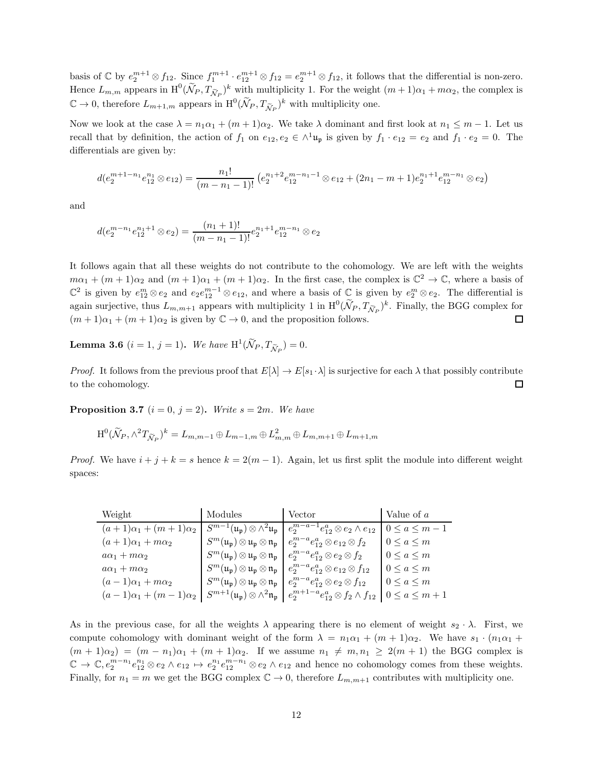basis of  $\mathbb{C}$  by  $e_2^{m+1} \otimes f_{12}$ . Since  $f_1^{m+1} \cdot e_{12}^{m+1} \otimes f_{12} = e_2^{m+1} \otimes f_{12}$ , it follows that the differential is non-zero. Hence  $L_{m,m}$  appears in  $\text{H}^0(\widetilde{\mathcal{N}}_P, T_{\widetilde{\mathcal{N}}_P})^k$  with multiplicity 1. For the weight  $(m+1)\alpha_1 + m\alpha_2$ , the complex is  $\mathbb{C} \to 0$ , therefore  $L_{m+1,m}$  appears in  $\mathrm{H}^{0}(\widetilde{\mathcal{N}}_{P}, T_{\widetilde{\mathcal{N}}_{P}})^{k}$  with multiplicity one.

Now we look at the case  $\lambda = n_1 \alpha_1 + (m+1)\alpha_2$ . We take  $\lambda$  dominant and first look at  $n_1 \leq m-1$ . Let us recall that by definition, the action of  $f_1$  on  $e_{12}, e_2 \in \wedge^1 \mathfrak{u}_\mathfrak{p}$  is given by  $f_1 \cdot e_{12} = e_2$  and  $f_1 \cdot e_2 = 0$ . The differentials are given by:

$$
d(e_2^{m+1-n_1}e_{12}^{n_1}\otimes e_{12})=\frac{n_1!}{(m-n_1-1)!}\left(e_2^{n_1+2}e_{12}^{m-n_1-1}\otimes e_{12}+(2n_1-m+1)e_2^{n_1+1}e_{12}^{m-n_1}\otimes e_2\right)
$$

and

$$
d(e_2^{m-n_1}e_{12}^{n_1+1} \otimes e_2) = \frac{(n_1+1)!}{(m-n_1-1)!}e_2^{n_1+1}e_{12}^{m-n_1} \otimes e_2
$$

It follows again that all these weights do not contribute to the cohomology. We are left with the weights  $m\alpha_1 + (m+1)\alpha_2$  and  $(m+1)\alpha_1 + (m+1)\alpha_2$ . In the first case, the complex is  $\mathbb{C}^2 \to \mathbb{C}$ , where a basis of  $\mathbb{C}^2$  is given by  $e_{12}^m \otimes e_2$  and  $e_2e_{12}^{m-1} \otimes e_{12}$ , and where a basis of  $\mathbb{C}$  is given by  $e_2^m \otimes e_2$ . The differential is again surjective, thus  $L_{m,m+1}$  appears with multiplicity 1 in  $\mathrm{H}^{0}(\widetilde{\mathcal{N}}_{P}, T_{\widetilde{\mathcal{N}}_{P}})^{k}$ . Finally, the BGG complex for  $(m+1)\alpha_1 + (m+1)\alpha_2$  is given by  $\mathbb{C} \to 0$ , and the proposition follows.  $\Box$ 

**Lemma 3.6**  $(i = 1, j = 1)$ . We have  $H^1(\widetilde{\mathcal{N}}_P, T_{\widetilde{\mathcal{N}}_P}) = 0$ .

*Proof.* It follows from the previous proof that  $E[\lambda] \to E[s_1 \cdot \lambda]$  is surjective for each  $\lambda$  that possibly contribute to the cohomology.  $\square$ 

**Proposition 3.7**  $(i = 0, j = 2)$ . Write  $s = 2m$ . We have

$$
\mathrm H^{0}(\widetilde{\mathcal N}_P,\wedge^{2}T_{\widetilde{\mathcal N}_P})^{k}=L_{m,m-1}\oplus L_{m-1,m}\oplus L_{m,m}^{2}\oplus L_{m,m+1}\oplus L_{m+1,m}
$$

*Proof.* We have  $i + j + k = s$  hence  $k = 2(m - 1)$ . Again, let us first split the module into different weight spaces:

| Weight                          | Modules                                                                                                    | Vector                                                                      | Value of a          |
|---------------------------------|------------------------------------------------------------------------------------------------------------|-----------------------------------------------------------------------------|---------------------|
| $(a+1)\alpha_1 + (m+1)\alpha_2$ | $S^{m-1}(\mathfrak{u}_{\mathfrak{p}}) \otimes \wedge^2 \mathfrak{u}_{\mathfrak{p}}$                        | $e_2^{m-a-1}e_{12}^a \otimes e_2 \wedge e_{12}$                             | $0 \leq a \leq m-1$ |
| $(a+1)\alpha_1+m\alpha_2$       | $S^m(\mathfrak{u}_{\mathfrak{p}}) \otimes \mathfrak{u}_{\mathfrak{p}} \otimes \mathfrak{n}_{\mathfrak{p}}$ | $e_2^{m-a}e_{12}^a \otimes e_{12} \otimes f_2$                              | $0 \leq a \leq m$   |
| $a\alpha_1 + m\alpha_2$         | $S^m(\mathfrak{u}_{\mathfrak{p}}) \otimes \mathfrak{u}_{\mathfrak{p}} \otimes \mathfrak{n}_{\mathfrak{p}}$ | $e_2^{m-a}e_{12}^a{\mathord{\,\otimes }\,} e_2{\mathord{\,\otimes }\,} f_2$ | $0 \leq a \leq m$   |
| $a\alpha_1+m\alpha_2$           | $S^m(\mathfrak{u}_{\mathfrak{p}}) \otimes \mathfrak{u}_{\mathfrak{p}} \otimes \mathfrak{n}_{\mathfrak{p}}$ | $e_2^{m-a}e_{12}^a \otimes e_{12} \otimes f_{12}$                           | $0 \leq a \leq m$   |
| $(a-1)\alpha_1+m\alpha_2$       | $S^m(\mathfrak{u}_{\mathfrak{p}}) \otimes \mathfrak{u}_{\mathfrak{p}} \otimes \mathfrak{n}_{\mathfrak{p}}$ | $e_2^{m-a}e_{12}^a \otimes e_2 \otimes f_{12}$                              | $0 \leq a \leq m$   |
| $(a-1)\alpha_1 + (m-1)\alpha_2$ | $S^{m+1}(\mathfrak{u}_{\mathfrak{p}}) \otimes \wedge^2 \mathfrak{n}_{\mathfrak{p}}$                        | $e_2^{m+1-a}e_{12}^a \otimes f_2 \wedge f_{12}$                             | $0 \leq a \leq m+1$ |

As in the previous case, for all the weights  $\lambda$  appearing there is no element of weight  $s_2 \cdot \lambda$ . First, we compute cohomology with dominant weight of the form  $\lambda = n_1 \alpha_1 + (m + 1)\alpha_2$ . We have  $s_1 \cdot (n_1 \alpha_1 +$  $(m+1)\alpha_2 = (m-n_1)\alpha_1 + (m+1)\alpha_2$ . If we assume  $n_1 \neq m, n_1 \geq 2(m+1)$  the BGG complex is  $\mathbb{C} \to \mathbb{C}, e_2^{m-n_1}e_{12}^{n_1} \otimes e_2 \wedge e_{12} \mapsto e_2^{n_1}e_{12}^{m-n_1} \otimes e_2 \wedge e_{12}$  and hence no cohomology comes from these weights. Finally, for  $n_1 = m$  we get the BGG complex  $\mathbb{C} \to 0$ , therefore  $L_{m,m+1}$  contributes with multiplicity one.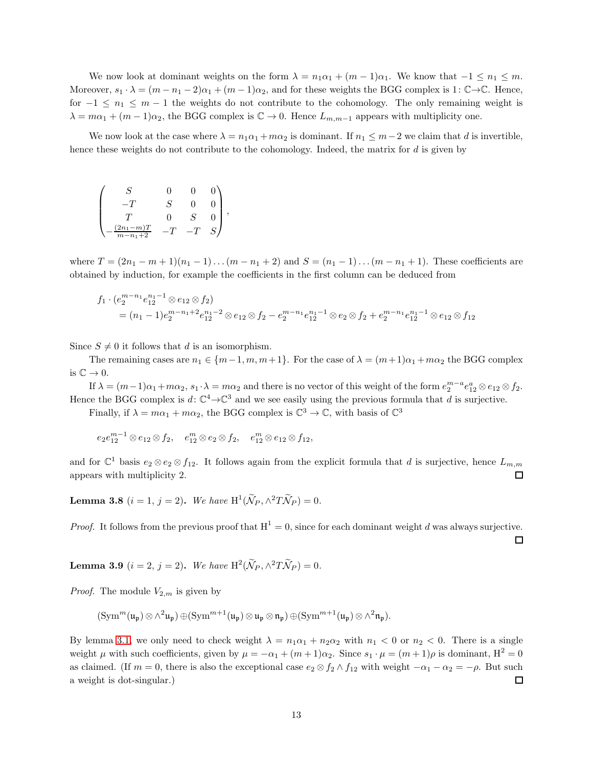We now look at dominant weights on the form  $\lambda = n_1 \alpha_1 + (m - 1) \alpha_1$ . We know that  $-1 \leq n_1 \leq m$ . Moreover,  $s_1 \cdot \lambda = (m - n_1 - 2)\alpha_1 + (m - 1)\alpha_2$ , and for these weights the BGG complex is 1:  $\mathbb{C} \rightarrow \mathbb{C}$ . Hence, for  $-1 \leq n_1 \leq m-1$  the weights do not contribute to the cohomology. The only remaining weight is  $\lambda = m\alpha_1 + (m-1)\alpha_2$ , the BGG complex is  $\mathbb{C} \to 0$ . Hence  $L_{m,m-1}$  appears with multiplicity one.

We now look at the case where  $\lambda = n_1 \alpha_1 + m \alpha_2$  is dominant. If  $n_1 \leq m-2$  we claim that d is invertible, hence these weights do not contribute to the cohomology. Indeed, the matrix for d is given by

|                                     | S |  |  |
|-------------------------------------|---|--|--|
|                                     |   |  |  |
| $(2n_1-m)T$<br>$\overline{m-n_1+2}$ |   |  |  |

where  $T = (2n_1 - m + 1)(n_1 - 1)...(m - n_1 + 2)$  and  $S = (n_1 - 1)...(m - n_1 + 1)$ . These coefficients are obtained by induction, for example the coefficients in the first column can be deduced from

$$
f_1 \cdot (e_2^{m-n_1} e_{12}^{n_1-1} \otimes e_{12} \otimes f_2)
$$
  
=  $(n_1 - 1)e_2^{m-n_1+2} e_{12}^{n_1-2} \otimes e_{12} \otimes f_2 - e_2^{m-n_1} e_{12}^{n_1-1} \otimes e_2 \otimes f_2 + e_2^{m-n_1} e_{12}^{n_1-1} \otimes e_{12} \otimes f_{12}$ 

Since  $S \neq 0$  it follows that d is an isomorphism.

The remaining cases are  $n_1 \in \{m-1, m, m+1\}$ . For the case of  $\lambda = (m+1)\alpha_1 + m\alpha_2$  the BGG complex is  $\mathbb{C} \to 0$ .

If  $\lambda = (m-1)\alpha_1 + m\alpha_2$ ,  $s_1 \cdot \lambda = m\alpha_2$  and there is no vector of this weight of the form  $e_2^{m-a} e_{12}^a \otimes e_{12} \otimes f_2$ . Hence the BGG complex is  $d: \mathbb{C}^4 \to \mathbb{C}^3$  and we see easily using the previous formula that d is surjective.

Finally, if  $\lambda = m\alpha_1 + m\alpha_2$ , the BGG complex is  $\mathbb{C}^3 \to \mathbb{C}$ , with basis of  $\mathbb{C}^3$ 

$$
e_2e_{12}^{m-1} \otimes e_{12} \otimes f_2
$$
,  $e_{12}^m \otimes e_2 \otimes f_2$ ,  $e_{12}^m \otimes e_{12} \otimes f_{12}$ ,

and for  $\mathbb{C}^1$  basis  $e_2 \otimes e_2 \otimes f_{12}$ . It follows again from the explicit formula that d is surjective, hence  $L_{m,m}$ appears with multiplicity 2.  $\Box$ 

**Lemma 3.8**  $(i = 1, j = 2)$ . We have  $H^1(\widetilde{\mathcal{N}}_P, \wedge^2 T \widetilde{\mathcal{N}}_P) = 0$ .

*Proof.* It follows from the previous proof that  $H^1 = 0$ , since for each dominant weight d was always surjective.  $\Box$ 

**Lemma 3.9**  $(i = 2, j = 2)$ . We have  $H^2(\widetilde{N}_P, \wedge^2 T \widetilde{N}_P) = 0$ .

*Proof.* The module  $V_{2,m}$  is given by

$$
(\mathrm{Sym}^{m}(\mathfrak{u}_{\mathfrak{p}})\otimes \wedge^{2}\mathfrak{u}_{\mathfrak{p}})\oplus (\mathrm{Sym}^{m+1}(\mathfrak{u}_{\mathfrak{p}})\otimes \mathfrak{u}_{\mathfrak{p}}\otimes \mathfrak{n}_{\mathfrak{p}})\oplus (\mathrm{Sym}^{m+1}(\mathfrak{u}_{\mathfrak{p}})\otimes \wedge^{2}\mathfrak{n}_{\mathfrak{p}}).
$$

By lemma [3.1,](#page-8-2) we only need to check weight  $\lambda = n_1 \alpha_1 + n_2 \alpha_2$  with  $n_1 < 0$  or  $n_2 < 0$ . There is a single weight  $\mu$  with such coefficients, given by  $\mu = -\alpha_1 + (m+1)\alpha_2$ . Since  $s_1 \cdot \mu = (m+1)\rho$  is dominant,  $H^2 = 0$ as claimed. (If  $m = 0$ , there is also the exceptional case  $e_2 \otimes f_2 \wedge f_{12}$  with weight  $-\alpha_1 - \alpha_2 = -\rho$ . But such a weight is dot-singular.)  $\Box$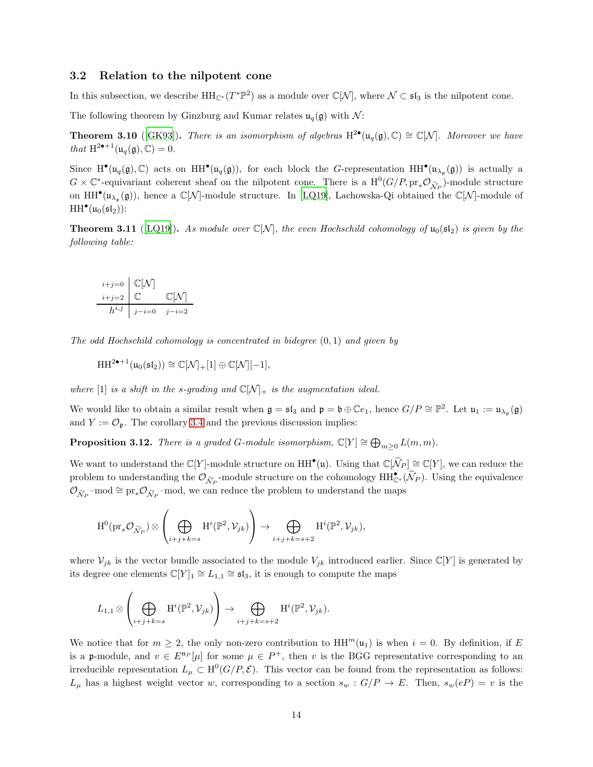#### <span id="page-13-0"></span>3.2 Relation to the nilpotent cone

In this subsection, we describe  $HH_{\mathbb{C}^*}(T^*\mathbb{P}^2)$  as a module over  $\mathbb{C}[\mathcal{N}]$ , where  $\mathcal{N} \subset \mathfrak{sl}_3$  is the nilpotent cone.

The following theorem by Ginzburg and Kumar relates  $\mathfrak{u}_q(\mathfrak{g})$  with  $\mathcal{N}$ :

**Theorem 3.10** ([\[GK93](#page-24-9)]). There is an isomorphism of algebras  $H^{2\bullet}(\mathfrak{u}_q(\mathfrak{g}), \mathbb{C}) \cong \mathbb{C}[\mathcal{N}]$ . Moreover we have that  $H^{2\bullet+1}(\mathfrak{u}_q(\mathfrak{g}), \mathbb{C}) = 0.$ 

Since  $H^{\bullet}(\mathfrak{u}_q(\mathfrak{g}),\mathbb{C})$  acts on  $HH^{\bullet}(\mathfrak{u}_q(\mathfrak{g}))$ , for each block the G-representation  $HH^{\bullet}(\mathfrak{u}_{\lambda_{\mathfrak{p}}}(\mathfrak{g}))$  is actually a  $G \times \mathbb{C}^*$ -equivariant coherent sheaf on the nilpotent cone. There is a  $H^0(G/P, \text{pr}_{*}\mathcal{O}_{\widetilde{\mathcal{N}}_P})$ -module structure on  $HH^{\bullet}(\mathfrak{u}_{\lambda_{p}}(\mathfrak{g}))$ , hence a  $\mathbb{C}[\mathcal{N}]$ -module structure. In [\[LQ19\]](#page-24-6), Lachowska-Qi obtained the  $\mathbb{C}[\mathcal{N}]$ -module of  $HH<sup>•</sup>(\mathfrak{u}_0(\mathfrak{sl}_2))$ :

**Theorem 3.11** ([\[LQ19\]](#page-24-6)). As module over  $\mathbb{C}[N]$ , the even Hochschild cohomology of  $u_0(\mathfrak{sl}_2)$  is given by the following table:

$$
\begin{array}{c}\n i+j=0 \quad \mathbb{C}[\mathcal{N}] \\
 i+j=2 \quad \mathbb{C} \qquad \qquad \mathbb{C}[\mathcal{N}] \\
 h^{i,j} \qquad j-i=0 \quad j-i=2\n\end{array}
$$

The odd Hochschild cohomology is concentrated in bidegree  $(0, 1)$  and given by

$$
\mathrm{HH}^{2\bullet+1}(\mathfrak{u}_0(\mathfrak{sl}_2))\cong \mathbb{C}[\mathcal{N}]_+[1]\oplus \mathbb{C}[\mathcal{N}][-1],
$$

where [1] is a shift in the s-grading and  $\mathbb{C}[\mathcal{N}]_+$  is the augmentation ideal.

We would like to obtain a similar result when  $\mathfrak{g} = \mathfrak{sl}_3$  and  $\mathfrak{p} = \mathfrak{b} \oplus \mathbb{C} e_1$ , hence  $G/P \cong \mathbb{P}^2$ . Let  $\mathfrak{u}_1 := \mathfrak{u}_{\lambda_{\mathfrak{p}}}(\mathfrak{g})$ and  $Y := \mathcal{O}_{\mathfrak{p}}$ . The corollary [3.4](#page-9-1) and the previous discussion implies:

**Proposition 3.12.** There is a graded G-module isomorphism,  $\mathbb{C}[Y] \cong \bigoplus_{m \geq 0} L(m, m)$ .

We want to understand the  $\mathbb{C}[Y]$ -module structure on  $HH^{\bullet}(\mathfrak{u})$ . Using that  $\mathbb{C}[\widetilde{\mathcal{N}}_P] \cong \mathbb{C}[Y]$ , we can reduce the problem to understanding the  $\mathcal{O}_{\widetilde{\mathcal{N}}_P}$ -module structure on the cohomology  $HH_{\mathbb{C}^*}^{\bullet}(\widetilde{\mathcal{N}}_P)$ . Using the equivalence  $\mathcal{O}_{\widetilde{\mathcal{N}}_P}$ -mod  $\cong \mathrm{pr}_*\mathcal{O}_{\widetilde{\mathcal{N}}_P}$ -mod, we can reduce the problem to understand the maps

$$
\textnormal{H}^0(\textnormal{pr}_*\mathcal{O}_{\widetilde{\mathcal{N}}_P})\otimes \left(\bigoplus_{i+j+k=s}\textnormal{H}^i(\mathbb{P}^2,\mathcal{V}_{jk})\right) \rightarrow \bigoplus_{i+j+k=s+2}\textnormal{H}^i(\mathbb{P}^2,\mathcal{V}_{jk}),
$$

where  $\mathcal{V}_{jk}$  is the vector bundle associated to the module  $V_{jk}$  introduced earlier. Since  $\mathbb{C}[Y]$  is generated by its degree one elements  $\mathbb{C}[Y]_1 \cong L_{1,1} \cong \mathfrak{sl}_3$ , it is enough to compute the maps

$$
L_{1,1}\otimes \left(\bigoplus_{i+j+k=s} H^i(\mathbb{P}^2,\mathcal{V}_{jk})\right) \to \bigoplus_{i+j+k=s+2} H^i(\mathbb{P}^2,\mathcal{V}_{jk}).
$$

We notice that for  $m \geq 2$ , the only non-zero contribution to  $HH^m(u_1)$  is when  $i = 0$ . By definition, if E is a p-module, and  $v \in E^{\mathfrak{n}_P}[\mu]$  for some  $\mu \in P^+$ , then v is the BGG representative corresponding to an irreducible representation  $L_{\mu} \subset H^0(G/P, \mathcal{E})$ . This vector can be found from the representation as follows:  $L_{\mu}$  has a highest weight vector w, corresponding to a section  $s_w : G/P \to E$ . Then,  $s_w(eP) = v$  is the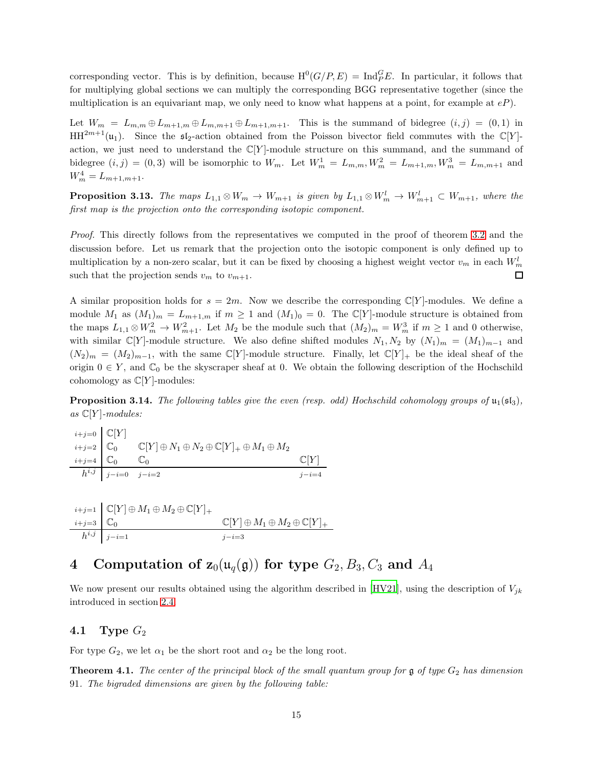corresponding vector. This is by definition, because  $H^0(G/P, E) = Ind_{P}^{G}E$ . In particular, it follows that for multiplying global sections we can multiply the corresponding BGG representative together (since the multiplication is an equivariant map, we only need to know what happens at a point, for example at  $eP$ ).

Let  $W_m = L_{m,m} \oplus L_{m+1,m} \oplus L_{m,m+1} \oplus L_{m+1,m+1}$ . This is the summand of bidegree  $(i, j) = (0, 1)$  in  $HH^{2m+1}(\mathfrak{u}_1)$ . Since the  $\mathfrak{sl}_2$ -action obtained from the Poisson bivector field commutes with the C[Y]action, we just need to understand the  $\mathbb{C}[Y]$ -module structure on this summand, and the summand of bidegree  $(i, j) = (0, 3)$  will be isomorphic to  $W_m$ . Let  $W_m^1 = L_{m,m}$ ,  $W_m^2 = L_{m+1,m}$ ,  $W_m^3 = L_{m,m+1}$  and  $W_m^4 = L_{m+1,m+1}.$ 

**Proposition 3.13.** The maps  $L_{1,1} \otimes W_m \to W_{m+1}$  is given by  $L_{1,1} \otimes W_m^l \to W_{m+1}^l \subset W_{m+1}$ , where the first map is the projection onto the corresponding isotopic component.

Proof. This directly follows from the representatives we computed in the proof of theorem [3.2](#page-9-2) and the discussion before. Let us remark that the projection onto the isotopic component is only defined up to multiplication by a non-zero scalar, but it can be fixed by choosing a highest weight vector  $v_m$  in each  $W_m^l$ such that the projection sends  $v_m$  to  $v_{m+1}$ .  $\Box$ 

A similar proposition holds for  $s = 2m$ . Now we describe the corresponding  $\mathbb{C}[Y]$ -modules. We define a module  $M_1$  as  $(M_1)_m = L_{m+1,m}$  if  $m \ge 1$  and  $(M_1)_0 = 0$ . The  $\mathbb{C}[Y]$ -module structure is obtained from the maps  $L_{1,1} \otimes W_m^2 \to W_{m+1}^2$ . Let  $M_2$  be the module such that  $(M_2)_m = W_m^3$  if  $m \ge 1$  and 0 otherwise, with similar C[Y]-module structure. We also define shifted modules  $N_1, N_2$  by  $(N_1)_m = (M_1)_{m-1}$  and  $(N_2)_m = (M_2)_{m-1}$ , with the same C[Y]-module structure. Finally, let C[Y]<sub>+</sub> be the ideal sheaf of the origin  $0 \in Y$ , and  $\mathbb{C}_0$  be the skyscraper sheaf at 0. We obtain the following description of the Hochschild cohomology as  $\mathbb{C}[Y]$ -modules:

**Proposition 3.14.** The following tables give the even (resp. odd) Hochschild cohomology groups of  $\mathfrak{u}_1(\mathfrak{sl}_3)$ , as  $\mathbb{C}[Y]$ -modules:

$$
\begin{array}{c}\n i+j=0 \quad \mathbb{C}[Y] \\
 i+j=2 \quad \mathbb{C}_0 \qquad \mathbb{C}[Y] \oplus N_1 \oplus N_2 \oplus \mathbb{C}[Y]_+ \oplus M_1 \oplus M_2 \\
 \frac{i+j=4}{h^{i,j}} \quad \frac{\mathbb{C}_0 \qquad \mathbb{C}_0}{j-i=2} \qquad \qquad \frac{\mathbb{C}[Y]}{j-i=4}\n \end{array}
$$

$$
\begin{array}{c}\n i+j=1 \quad \mathbb{C}[Y]\oplus M_1\oplus M_2\oplus \mathbb{C}[Y]_+ \\
 \frac{i+j=3}{h^{i,j}} \quad \frac{\mathbb{C}_0}{j-i=1} \qquad \qquad & \mathbb{C}[Y]\oplus M_1\oplus M_2\oplus \mathbb{C}[Y]_+ \\
\end{array}
$$

## <span id="page-14-0"></span>4 Computation of  $z_0(u_q(\mathfrak{g}))$  for type  $G_2, B_3, C_3$  and  $A_4$

<span id="page-14-1"></span>We now present our results obtained using the algorithm described in [\[HV21\]](#page-24-5), using the description of  $V_{jk}$ introduced in section [2.4.](#page-7-0)

#### 4.1 Type  $G_2$

For type  $G_2$ , we let  $\alpha_1$  be the short root and  $\alpha_2$  be the long root.

**Theorem 4.1.** The center of the principal block of the small quantum group for  $\mathfrak g$  of type  $G_2$  has dimension 91. The bigraded dimensions are given by the following table: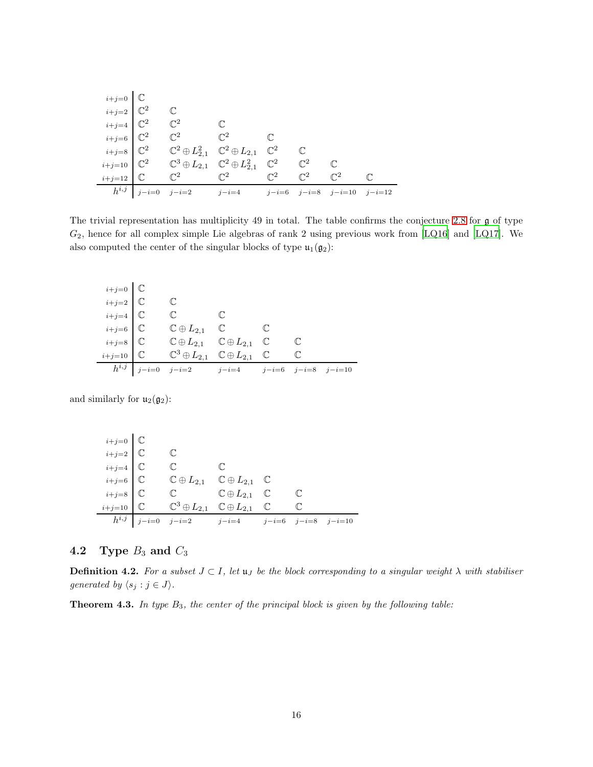|                                                                                                                                                            | $\mathbb{C}^2$                                                                                         |                                              |                |                                   |  |
|------------------------------------------------------------------------------------------------------------------------------------------------------------|--------------------------------------------------------------------------------------------------------|----------------------------------------------|----------------|-----------------------------------|--|
|                                                                                                                                                            | $\mathbb{C}^2$ $\mathbb{C}^2$                                                                          |                                              |                |                                   |  |
|                                                                                                                                                            | $\mathbb{C}^2\oplus L_{2,1}^2\quad \mathbb{C}^2\oplus L_{2,1}\quad \mathbb{C}^2$                       |                                              |                |                                   |  |
|                                                                                                                                                            | $\mathbb{C}^3\oplus L_{2,1}$ $\mathbb{C}^2\oplus L_{2,1}^2$ $\mathbb{C}^2$ $\mathbb{C}^2$ $\mathbb{C}$ |                                              |                |                                   |  |
| $i+j=0$ C<br>$i+j=2$ C <sup>2</sup><br>$i+j=4$ C <sup>2</sup><br>$i+j=6$ C <sup>2</sup><br>$i+j=8$ C <sup>2</sup><br>$i+j=10$ C <sup>2</sup><br>$i+j=12$ C |                                                                                                        | $\mathbb{C}^2$ $\mathbb{C}^2$ $\mathbb{C}^2$ | $\mathbb{C}^2$ | $\mathbb{C}^2$                    |  |
|                                                                                                                                                            | $h^{i,j}$ $j-i=0$ $j-i=2$ $j-i=4$                                                                      |                                              |                | $j-i=6$ $j-i=8$ $j-i=10$ $j-i=12$ |  |

The trivial representation has multiplicity 49 in total. The table confirms the conjecture [2.8](#page-3-0) for g of type  $G_2$ , hence for all complex simple Lie algebras of rank 2 using previous work from [\[LQ16](#page-24-3)] and [\[LQ17](#page-24-4)]. We also computed the center of the singular blocks of type  $\mathfrak{u}_1(\mathfrak{g}_2)$ :

| $_{i+j=0}$ $\quad$ $\mathbb C$ |                                                                      |  |              |  |
|--------------------------------|----------------------------------------------------------------------|--|--------------|--|
| $_{i+j=2}$ $\mid$ $\mathbb C$  |                                                                      |  |              |  |
| $_{i+j=4}$ $\mid$ $\mathbb C$  | $\mathbb{C}$ $\mathbb{C}$                                            |  |              |  |
| $_{i+j=6}$ $\mid$ $\mathbb C$  | $\mathbb{C} \oplus L_{2,1}$ $\mathbb{C}$ $\mathbb{C}$                |  |              |  |
| $_{i+j=8}$ $\quad$ $\mathbb C$ | $\mathbb{C} \oplus L_{2,1}$ $\mathbb{C} \oplus L_{2,1}$ $\mathbb{C}$ |  | $\mathbb{C}$ |  |
| $i+j=10$ $\circ$               | $\mathbb{C}^3\oplus L_{2,1}$ $\mathbb{C}\oplus L_{2,1}$ $\mathbb{C}$ |  | $\mathbb{C}$ |  |
|                                | $h^{i,j}$ $j-i=0$ $j-i=2$ $j-i=4$ $j-i=6$ $j-i=8$ $j-i=10$           |  |              |  |

and similarly for  $u_2(\mathfrak{g}_2)$ :

| $\left.\begin{array}{ll} i+j=0 \\ i+j=2 \\ i+j=4 \\ i+j=6 \\ i+j=8 \end{array}\right.\left.\begin{array}{ll} \mathbb{C} \\ \mathbb{C} \\ \mathbb{C} \\ i+j=8 \end{array}\right]$ |                                                                       |              |              |  |
|----------------------------------------------------------------------------------------------------------------------------------------------------------------------------------|-----------------------------------------------------------------------|--------------|--------------|--|
|                                                                                                                                                                                  | $\mathbb{C}$                                                          |              |              |  |
|                                                                                                                                                                                  | $\mathbb{C}$                                                          | $\mathbb{C}$ |              |  |
|                                                                                                                                                                                  | $\mathbb{C} \oplus L_{2,1}$ $\mathbb{C} \oplus L_{2,1}$ $\mathbb{C}$  |              |              |  |
|                                                                                                                                                                                  | $\mathbb{C} \qquad \qquad \mathbb{C} \oplus L_{2,1} \quad \mathbb{C}$ |              | $\mathbb{C}$ |  |
| $i+j=10$ $\circ$                                                                                                                                                                 | $\mathbb{C}^3\oplus L_{2,1}$ $\mathbb{C}\oplus L_{2,1}$ $\mathbb{C}$  |              | $\mathbb{C}$ |  |
|                                                                                                                                                                                  | $h^{i,j}$   $j-i=0$ $j-i=2$ $j-i=4$ $j-i=6$ $j-i=8$ $j-i=10$          |              |              |  |

## <span id="page-15-0"></span>4.2 Type  $B_3$  and  $C_3$

j.

**Definition 4.2.** For a subset  $J \subset I$ , let  $\mathfrak{u}_J$  be the block corresponding to a singular weight  $\lambda$  with stabiliser generated by  $\langle s_j : j \in J \rangle$ .

**Theorem 4.3.** In type  $B_3$ , the center of the principal block is given by the following table: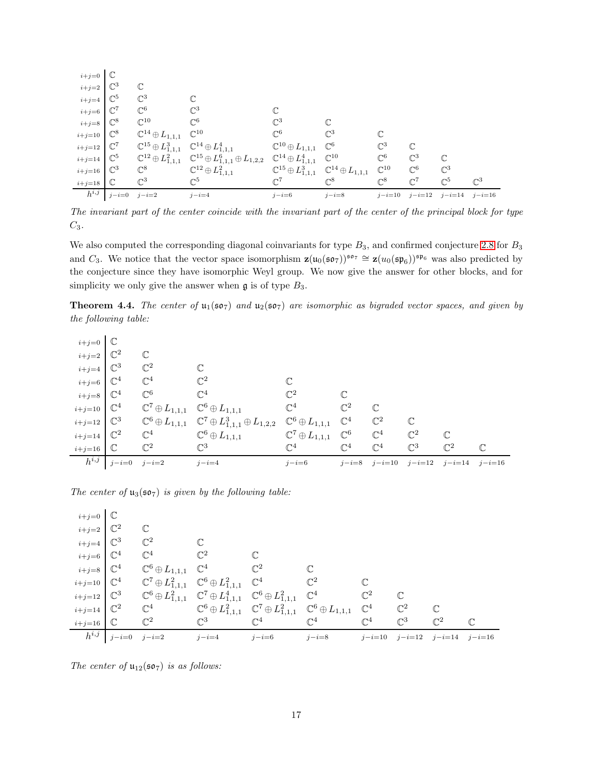| $i+j=0$                     |                 |                                                                               |                                                                                              |                                                                         |                |                   |                   |                   |                |
|-----------------------------|-----------------|-------------------------------------------------------------------------------|----------------------------------------------------------------------------------------------|-------------------------------------------------------------------------|----------------|-------------------|-------------------|-------------------|----------------|
| $i+j=2$                     | $\mathbb{C}^3$  | $\mathbb{C}$                                                                  |                                                                                              |                                                                         |                |                   |                   |                   |                |
| $i+j=4$                     | $\mathbb{C}^5$  | $\mathbb{C}^3$                                                                |                                                                                              |                                                                         |                |                   |                   |                   |                |
| $i+j=6$                     | $\mathbb{C}^7$  | $\mathbb{C}^6$                                                                | $\mathbb{C}^3$                                                                               |                                                                         |                |                   |                   |                   |                |
| $i+j=8$ $\mathbb{C}^8$      |                 | $\mathbb{C}^{10}$                                                             | $\mathbb{C}^6$                                                                               | $\mathbb{C}^3$                                                          |                |                   |                   |                   |                |
| $i+j=10$ $\mathbb{C}^8$     |                 | $\mathbb{C}^{14}\oplus L_{1,1,1}$                                             | $\mathbb{C}^{10}$                                                                            | $\mathbb{C}^6$                                                          | $\mathbb{C}^3$ | $\mathbb C$       |                   |                   |                |
| $i+j=12$ $\mathbb{C}^7$     |                 | $\mathbb{C}^{15} \oplus L_{1,1,1}^3 \quad \mathbb{C}^{14} \oplus L_{1,1,1}^4$ |                                                                                              | $\mathbb{C}^{10}\oplus L_{1,1,1}$                                       | $\mathbb{C}^6$ | $\mathbb{C}^3$    | $\mathbb{C}$      |                   |                |
| $i+j=14$ $\mathbb{C}^5$     |                 |                                                                               | $\mathbb{C}^{12}\oplus L_{1,1,1}^2\quad \mathbb{C}^{15}\oplus L_{1,1,1}^6\oplus L_{1,2,2}^1$ | $\mathbb{C}^{14} \oplus L_{1,1,1}^4$ $\mathbb{C}^{10}$                  |                | $\mathbb{C}^6$    | $\mathbb{C}^3$    | $\mathbb{C}$      |                |
| $i+j=16$ $\mathbb{C}^3$     |                 | $\mathbb{C}^8$                                                                | $\mathbb{C}^{12}\oplus L_{1,1,1}^2$                                                          | $\mathbb{C}^{15} \oplus L_{1,1,1}^3$ $\mathbb{C}^{14} \oplus L_{1,1,1}$ |                | $\mathbb{C}^{10}$ | $\mathbb{C}^6$    | $\mathbb{C}^3$    |                |
| $i+j=18$ $\quad \mathbb{C}$ |                 | $\mathbb{C}^3$                                                                | $\mathbb{C}^5$                                                                               | $\mathbb{C}^7$                                                          | $\mathbb{C}^8$ | $\mathbb{C}^8$    | $\mathbb{C}^7$    | $\mathbb{C}^5$    | $\mathbb{C}^3$ |
| $h^{i,j}$                   | $j-i=0$ $j-i=2$ |                                                                               | $j-i=4$                                                                                      | $j-i=6$                                                                 | $j-i=8$        |                   | $j-i=10$ $j-i=12$ | $j-i=14$ $j-i=16$ |                |

The invariant part of the center coincide with the invariant part of the center of the principal block for type  $C_3$ .

We also computed the corresponding diagonal coinvariants for type  $B_3$ , and confirmed conjecture [2.8](#page-3-0) for  $B_3$ and C<sub>3</sub>. We notice that the vector space isomorphism  $\mathbf{z}(\mathfrak{u}_0(\mathfrak{so}_7))^{\mathfrak{so}_7} \cong \mathbf{z}(u_0(\mathfrak{sp}_6))^{\mathfrak{sp}_6}$  was also predicted by the conjecture since they have isomorphic Weyl group. We now give the answer for other blocks, and for simplicity we only give the answer when  $\mathfrak g$  is of type  $B_3$ .

**Theorem 4.4.** The center of  $u_1(\mathfrak{so}_7)$  and  $u_2(\mathfrak{so}_7)$  are isomorphic as bigraded vector spaces, and given by the following table:

| $i+j=0$ $\mathbb{C}$    |                 |                                                               |                                                                                    |                                |                |                |                |                |              |
|-------------------------|-----------------|---------------------------------------------------------------|------------------------------------------------------------------------------------|--------------------------------|----------------|----------------|----------------|----------------|--------------|
| $i+j=2$ $\mathbb{C}^2$  |                 | $\mathbb{C}$                                                  |                                                                                    |                                |                |                |                |                |              |
| $i+j=4$ $\mathbb{C}^3$  |                 | $\mathbb{C}^2$                                                | $\mathbb C$                                                                        |                                |                |                |                |                |              |
| $i+j=6$                 | $\mathbb{C}^4$  | $\mathbb{C}^4$                                                | $\mathbb{C}^2$                                                                     | $\mathbb{C}$                   |                |                |                |                |              |
| $i+j=8$ $\mathbb{C}^4$  |                 | $\mathbb{C}^6$                                                | $\mathbb{C}^4$                                                                     | $\mathbb{C}^2$                 |                |                |                |                |              |
| $i+j=10$ $\mathbb{C}^4$ |                 | $\mathbb{C}^7\oplus L_{1,1,1}$ $\mathbb{C}^6\oplus L_{1,1,1}$ |                                                                                    | $\mathbb{C}^4$                 | $\mathbb{C}^2$ | $\mathbb{C}$   |                |                |              |
| $i+j=12$ $\mathbb{C}^3$ |                 |                                                               | $\mathbb{C}^6 \oplus L_{1,1,1}$ $\mathbb{C}^7 \oplus L_{1,1,1}^3 \oplus L_{1,2,2}$ | $\mathbb{C}^6\oplus L_{1,1,1}$ | $\mathbb{C}^4$ | $\mathbb{C}^2$ | $\mathbb{C}$   |                |              |
| $i+j=14$ $\mathbb{C}^2$ |                 | $\mathbb{C}^4$                                                | $\mathbb{C}^6\oplus L_{1,1,1}$                                                     | $\mathbb{C}^7\oplus L_{1,1,1}$ | $\mathbb{C}^6$ | $\mathbb{C}^4$ | $\mathbb{C}^2$ | $\mathbb{C}$   |              |
| $i+j=16$                | $\mathbb C$     | $\mathbb{C}^2$                                                | $\mathbb{C}^3$                                                                     | $\mathbb{C}^4$                 | $\mathbb{C}^4$ | $\mathbb{C}^4$ | $\mathbb{C}^3$ | $\mathbb{C}^2$ | $\mathbb{C}$ |
| $h^{i,j}$               | $j-i=0$ $j-i=2$ |                                                               | $j-i=4$                                                                            | $j-i=6$                        | $j-i=8$        | $j-i=10$       | $j - i = 12$   | $j - i = 14$   | $j-i=16$     |

The center of  $u_3(\mathfrak{so}_7)$  is given by the following table:

| $i+j=0$ $\mathbb{C}$             |                                   |                                  |                                                              |                                                                                                                                                   |                |                |                                     |                |              |
|----------------------------------|-----------------------------------|----------------------------------|--------------------------------------------------------------|---------------------------------------------------------------------------------------------------------------------------------------------------|----------------|----------------|-------------------------------------|----------------|--------------|
| $_{i+j=2}$ $\mid \mathbb{C}^2$   |                                   | $\mathbb{C}$                     |                                                              |                                                                                                                                                   |                |                |                                     |                |              |
| $i+j=4$ $\mathbb{C}^3$           |                                   | $\mathbb{C}^2$                   |                                                              |                                                                                                                                                   |                |                |                                     |                |              |
| $_{i+j=6}$ $\mid$ $\mathbb{C}^4$ |                                   | $\mathbb{C}^2$<br>$\mathbb{C}^4$ |                                                              |                                                                                                                                                   |                |                |                                     |                |              |
| $i+j=8$ $\mathbb{C}^4$           |                                   |                                  | $\mathbb{C}^6\oplus L_{1,1,1}$ $\mathbb{C}^4$ $\mathbb{C}^2$ |                                                                                                                                                   |                |                |                                     |                |              |
| $i+j=10$ $\mathbb{C}^4$          |                                   |                                  |                                                              | $\mathbb{C}^7\oplus L^2_{1,1,1}$ $\mathbb{C}^6\oplus L^2_{1,1,1}$ $\mathbb{C}^4$ $\mathbb{C}^2$                                                   |                |                |                                     |                |              |
|                                  |                                   |                                  |                                                              | $i+j=12$ $\mathbb{C}^3$ $\mathbb{C}^6 \oplus L_{1,1,1}^2$ $\mathbb{C}^7 \oplus L_{1,1,1}^4$ $\mathbb{C}^6 \oplus L_{1,1,1}^2$ $\mathbb{C}^4$      | $\mathbb{C}^2$ |                |                                     |                |              |
| $i+j=14$ $\mathbb{C}^2$          |                                   |                                  |                                                              | $\label{eq:G4} \mathbb{C}^4 \qquad \qquad \mathbb{C}^6\oplus L^2_{1,1,1} \quad \mathbb{C}^7\oplus L^2_{1,1,1} \quad \mathbb{C}^6\oplus L_{1,1,1}$ |                | $\mathbb{C}^4$ | $\mathbb{C}^2$                      | $\mathbb{C}$   |              |
| $i+j=16$ $\circ$                 |                                   | $\mathbb{C}^2$                   | $\mathbb{C}^3$                                               | $\mathbb{C}^4$<br>$\mathbb{C}^4$                                                                                                                  |                | $\mathbb{C}^4$ | $\mathbb{C}^3$                      | $\mathbb{C}^2$ | $\mathbb{C}$ |
|                                  | $\boxed{h^{i,j}}$ $j-i=0$ $j-i=2$ |                                  | $j - i = 4$                                                  | $j-i=6$                                                                                                                                           | $j-i=8$        |                | $j-i=10$ $j-i=12$ $j-i=14$ $j-i=16$ |                |              |

The center of  $u_{12}(\mathfrak{so}_7)$  is as follows: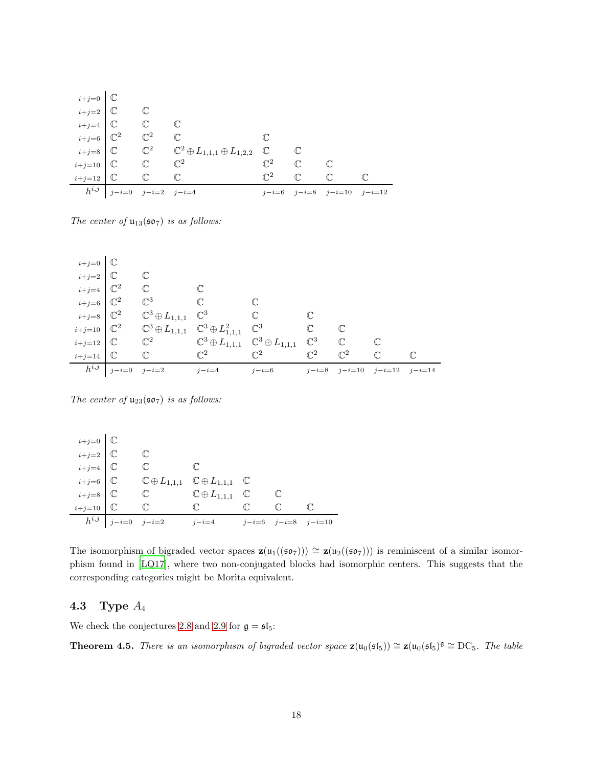|                             |                                                         |              | $\begin{array}{lllllll} & \scriptstyle i+j=0 & \mathbb{C} \\ & \scriptstyle i+j=2 & \mathbb{C} & \mathbb{C} \\ & \scriptstyle i+j=4 & \mathbb{C} & \mathbb{C} & \mathbb{C} \\ & \scriptstyle i+j=6 & \mathbb{C}^2 & \mathbb{C}^2 & \mathbb{C} & \mathbb{C} \\ & \scriptstyle i+j=8 & \mathbb{C} & \mathbb{C}^2 & \mathbb{C}^2 \oplus L_{1,1,1} \oplus L_{1,2,2} & \mathbb{C} & \mathbb{C} \\ & \scriptstyle & \scriptstyle \mathbb{C} & \mathbb{C}^2 & \mathbb{C}$ |                |              |                                   |  |
|-----------------------------|---------------------------------------------------------|--------------|--------------------------------------------------------------------------------------------------------------------------------------------------------------------------------------------------------------------------------------------------------------------------------------------------------------------------------------------------------------------------------------------------------------------------------------------------------------------|----------------|--------------|-----------------------------------|--|
|                             |                                                         |              |                                                                                                                                                                                                                                                                                                                                                                                                                                                                    |                |              |                                   |  |
|                             |                                                         |              |                                                                                                                                                                                                                                                                                                                                                                                                                                                                    |                |              |                                   |  |
|                             |                                                         |              |                                                                                                                                                                                                                                                                                                                                                                                                                                                                    |                |              |                                   |  |
|                             |                                                         |              |                                                                                                                                                                                                                                                                                                                                                                                                                                                                    |                |              |                                   |  |
| $i+j=10$ C C $\mathbb{C}^2$ |                                                         |              | $\mathbb{C}^2$ $\mathbb{C}$                                                                                                                                                                                                                                                                                                                                                                                                                                        |                |              |                                   |  |
| $i+j=12$ $\mathbb{C}$       |                                                         | $\mathbb{C}$ | $\mathbb{C}$                                                                                                                                                                                                                                                                                                                                                                                                                                                       | $\mathbb{C}^2$ | $\mathbb{C}$ | $\mathbb{C}$                      |  |
|                             | $\overline{h^{i,j}}$ $\overline{j-i=0}$ $j-i=2$ $j-i=4$ |              |                                                                                                                                                                                                                                                                                                                                                                                                                                                                    |                |              | $j-i=6$ $j-i=8$ $j-i=10$ $j-i=12$ |  |

The center of  $u_{13}(\mathfrak{so}_7)$  is as follows:

| $i+j=0$ $\boxed{\mathbb{C}}$          |                                   |                                                                                  |                |                |                |                                    |              |  |
|---------------------------------------|-----------------------------------|----------------------------------------------------------------------------------|----------------|----------------|----------------|------------------------------------|--------------|--|
| $i+j=2$ $\mathbb{C}$                  |                                   |                                                                                  |                |                |                |                                    |              |  |
| $i+j=4$ $\mathbb{C}^2$                |                                   | $\mathbb{C}$                                                                     |                |                |                |                                    |              |  |
| $_{i+j=6}$ $\,$ $\,$ $\mathbb{C}^{2}$ |                                   | $\mathbb{C}^3$                                                                   | $\mathbb{C}$   |                |                |                                    |              |  |
| $i+j=8$ $\mathbb{C}^2$                |                                   | $\mathbb{C}^3\oplus L_{1,1,1}$ $\mathbb{C}^3$                                    |                | $\mathbb{C}$   |                |                                    |              |  |
| $i+j=10$ $\mathbb{C}^2$               |                                   | $\mathbb{C}^3 \oplus L_{1,1,1}$ $\mathbb{C}^3 \oplus L_{1,1,1}^2$ $\mathbb{C}^3$ |                |                | $\mathbb{C}$   |                                    |              |  |
| $i+j=12$ $\circ$                      |                                   | $\mathbb{C}^2$ $\mathbb{C}^3 \oplus L_{1,1,1}$ $\mathbb{C}^3 \oplus L_{1,1,1}$   |                |                | $\mathbb{C}^3$ | $\mathbb C$                        |              |  |
| $i+j=14$ $\mathbb{C}$                 |                                   | $\mathbb C$                                                                      | $\mathbb{C}^2$ | $\mathbb{C}^2$ | $\mathbb{C}^2$ | $\mathbb{C}^2$                     | $\mathbb{C}$ |  |
|                                       | $\boxed{h^{i,j}}$ $j-i=0$ $j-i=2$ |                                                                                  | $j-i=4$        | $j-i=6$        |                | $j-i=8$ $j-i=10$ $j-i=12$ $j-i=14$ |              |  |

The center of  $u_{23}(\mathfrak{so}_7)$  is as follows:

|                                                                      | $h^{i,j}$ $j-i=0$ $j-i=2$ |              | $j-i=4$                                                                  | $j-i=6$ $j-i=8$ $j-i=10$ |  |
|----------------------------------------------------------------------|---------------------------|--------------|--------------------------------------------------------------------------|--------------------------|--|
|                                                                      |                           | $\mathbb{C}$ | $\mathbb{C}$ $\mathbb{C}$                                                |                          |  |
|                                                                      |                           | $\mathbb{C}$ | $\mathbb{C} \oplus L_{1,1,1}$ $\mathbb{C}$                               |                          |  |
|                                                                      |                           |              | $\mathbb{C} \oplus L_{1,1,1}$ $\mathbb{C} \oplus L_{1,1,1}$ $\mathbb{C}$ |                          |  |
| $i+j=0$<br>$i+j=2$<br>$i+j=4$<br>$i+j=6$<br>$i+j=8$<br>$i+j=10$<br>C |                           |              |                                                                          |                          |  |
|                                                                      |                           |              |                                                                          |                          |  |
|                                                                      |                           |              |                                                                          |                          |  |

The isomorphism of bigraded vector spaces  $\mathbf{z}(\mathfrak{u}_1((\mathfrak{so}_7))) \cong \mathbf{z}(\mathfrak{u}_2((\mathfrak{so}_7)))$  is reminiscent of a similar isomorphism found in [\[LQ17\]](#page-24-4), where two non-conjugated blocks had isomorphic centers. This suggests that the corresponding categories might be Morita equivalent.

### <span id="page-17-0"></span>4.3 Type  $A_4$

We check the conjectures [2.8](#page-3-0) and [2.9](#page-3-1) for  $\mathfrak{g} = \mathfrak{sl}_5$ :

**Theorem 4.5.** There is an isomorphism of bigraded vector space  $\mathbf{z}(\mathfrak{u}_0(\mathfrak{sl}_5)) \cong \mathbf{z}(\mathfrak{u}_0(\mathfrak{sl}_5)^{\mathfrak{g}} \cong DC_5$ . The table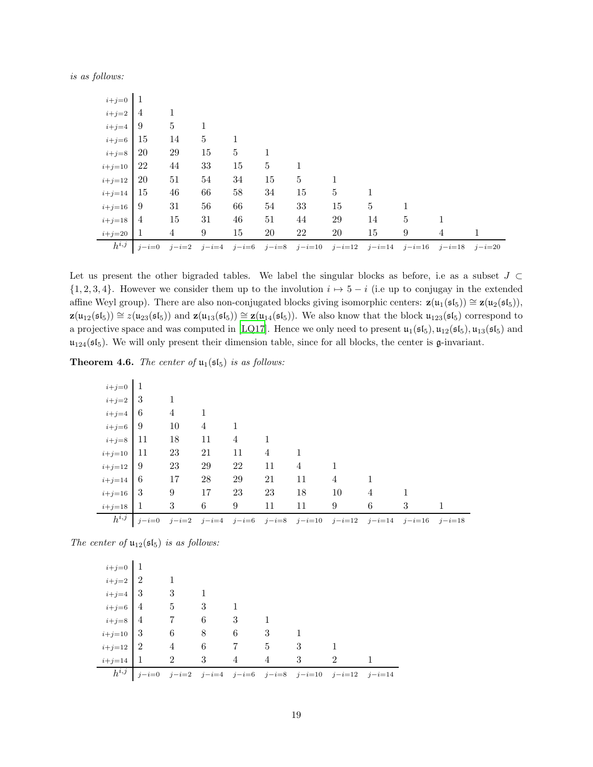is as follows:

| $i+j=0$    | 1              |                |    |             |    |                |        |    |   |                                                                               |   |
|------------|----------------|----------------|----|-------------|----|----------------|--------|----|---|-------------------------------------------------------------------------------|---|
| $i+j=2$    | $\overline{4}$ |                |    |             |    |                |        |    |   |                                                                               |   |
| $i+j=4$    | -9             | $\overline{5}$ | 1  |             |    |                |        |    |   |                                                                               |   |
| $i+j=6$    | 15             | 14             | 5  | $\mathbf 1$ |    |                |        |    |   |                                                                               |   |
| $i+j=8$    | <b>20</b>      | 29             | 15 | 5           | -1 |                |        |    |   |                                                                               |   |
| $i+j=10$   | 22             | 44             | 33 | 15          | 5  | 1              |        |    |   |                                                                               |   |
| $i+j=12$   | 20             | 51             | 54 | 34          | 15 | $\overline{5}$ | 1      |    |   |                                                                               |   |
| $i+j=14$   | 15             | 46             | 66 | 58          | 34 | 15             | 5      |    |   |                                                                               |   |
| $i+j=16$   | -9             | 31             | 56 | 66          | 54 | 33             | 15     | 5  |   |                                                                               |   |
| $i+j=18$   | 4              | 15             | 31 | 46          | 51 | 44             | 29     | 14 | 5 |                                                                               |   |
| $i+j=20$ 1 |                | $\overline{4}$ | 9  | 15          | 20 | 22             | $20\,$ | 15 | 9 | 4                                                                             | 1 |
| $h^{i,j}$  | $j-i=0$        | $j-i=2$        |    |             |    |                |        |    |   | $j-i=4$ $j-i=6$ $j-i=8$ $j-i=10$ $j-i=12$ $j-i=14$ $j-i=16$ $j-i=18$ $j-i=20$ |   |

Let us present the other bigraded tables. We label the singular blocks as before, i.e as a subset  $J \subset$  $\{1, 2, 3, 4\}$ . However we consider them up to the involution  $i \mapsto 5 - i$  (i.e up to conjugay in the extended affine Weyl group). There are also non-conjugated blocks giving isomorphic centers:  $\mathbf{z}(\mathfrak{u}_1(\mathfrak{sl}_5)) \cong \mathbf{z}(\mathfrak{u}_2(\mathfrak{sl}_5)),$  $\mathbf{z}(\mathfrak{u}_{12}(\mathfrak{sl}_5)) \cong z(\mathfrak{u}_{23}(\mathfrak{sl}_5))$  and  $\mathbf{z}(\mathfrak{u}_{13}(\mathfrak{sl}_5)) \cong \mathbf{z}(\mathfrak{u}_{14}(\mathfrak{sl}_5))$ . We also know that the block  $\mathfrak{u}_{123}(\mathfrak{sl}_5)$  correspond to a projective space and was computed in [\[LQ17](#page-24-4)]. Hence we only need to present  $u_1(\mathfrak{sl}_5), u_{12}(\mathfrak{sl}_5), u_{13}(\mathfrak{sl}_5)$  and  $u_{124}(\mathfrak{sl}_5)$ . We will only present their dimension table, since for all blocks, the center is  $\mathfrak{g}$ -invariant.

**Theorem 4.6.** The center of  $\mathfrak{u}_1(\mathfrak{sl}_5)$  is as follows:

| $i+j=0$   |         |                |                 |                |    |    |                                                              |   |   |  |
|-----------|---------|----------------|-----------------|----------------|----|----|--------------------------------------------------------------|---|---|--|
| $i+j=2$   | -3      |                |                 |                |    |    |                                                              |   |   |  |
| $i+j=4$   | 6       | $\overline{4}$ |                 |                |    |    |                                                              |   |   |  |
| $i+j=6$   | -9      | 10             | 4               |                |    |    |                                                              |   |   |  |
| $i+j=8$   | 11      | 18             | 11              | $\overline{4}$ |    |    |                                                              |   |   |  |
| $i+j=10$  | -11     | 23             | 21              | 11             | 4  |    |                                                              |   |   |  |
| $i+j=12$  | 9       | 23             | 29              | 22             | 11 | 4  |                                                              |   |   |  |
| $i+j=14$  | -6      | 17             | 28              | 29             | 21 | 11 | 4                                                            |   |   |  |
| $i+j=16$  | -3      | 9              | 17              | 23             | 23 | 18 | 10                                                           | 4 |   |  |
| $i+j=18$  | -1      | 3              | 6               | 9              | 11 | 11 | 9                                                            | 6 | 3 |  |
| $h^{i,j}$ | $j-i=0$ |                | $i-i=2$ $i-i=4$ |                |    |    | $j-i=6$ $j-i=8$ $j-i=10$ $j-i=12$ $j-i=14$ $j-i=16$ $j-i=18$ |   |   |  |

The center of  $u_{12}(\mathfrak{sl}_5)$  is as follows:

| $i+j=0$ 1   |             |                |     |   |   |   |                                                            |  |
|-------------|-------------|----------------|-----|---|---|---|------------------------------------------------------------|--|
| $i+j=2$   2 |             |                |     |   |   |   |                                                            |  |
| $i+j=4$ 3   |             | 3              |     |   |   |   |                                                            |  |
| $i+j=6$ 4   |             | 5              | 3   |   |   |   |                                                            |  |
| $i+j=8$ 4   |             |                | 6   | 3 |   |   |                                                            |  |
| $i+j=10$ 3  |             | 6              | 8   | 6 | 3 |   |                                                            |  |
| $i+j=12$ 2  |             | $\overline{4}$ | - 6 |   | 5 | 3 |                                                            |  |
| $i+j=14$    | -1          | $\overline{2}$ | 3   | 4 | 4 | 3 | $\overline{2}$                                             |  |
| $h^{i,j}$   | $j - i = 0$ |                |     |   |   |   | $j-i=2$ $j-i=4$ $j-i=6$ $j-i=8$ $j-i=10$ $j-i=12$ $j-i=14$ |  |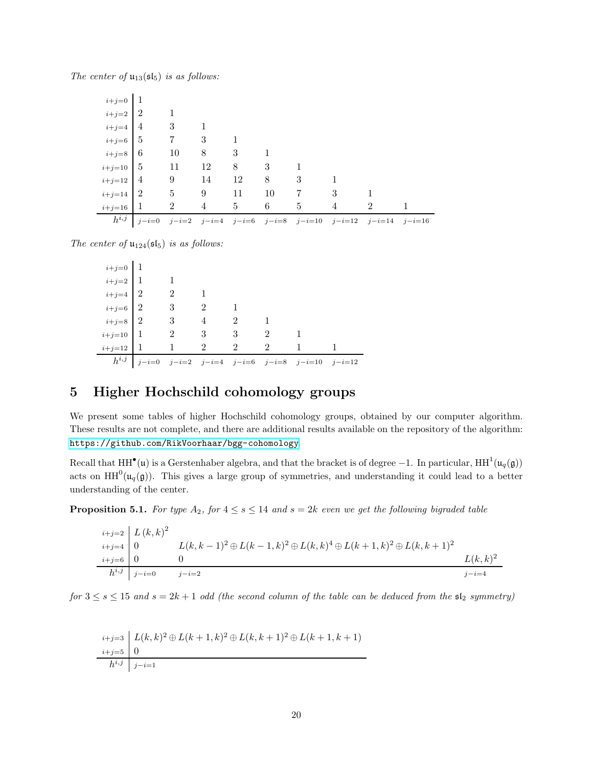The center of  $u_{13}(\mathfrak{sl}_5)$  is as follows:

| $h^{i,j}$   | $j-i=0$    |                |    |             |    |                |   | $j-i=2$ $j-i=4$ $j-i=6$ $j-i=8$ $j-i=10$ $j-i=12$ $j-i=14$ $j-i=16$ |  |
|-------------|------------|----------------|----|-------------|----|----------------|---|---------------------------------------------------------------------|--|
| $i+j=16$    |            | $\overline{2}$ | 4  | $5^{\circ}$ | 6  | $\overline{5}$ | 4 | $\overline{2}$                                                      |  |
| $i+j=14$    | $\sqrt{2}$ |                | 9  | - 11        | 10 | - 7            | 3 |                                                                     |  |
| $i+j=12$ 4  |            | 9              | 14 | 12          | 8  | -3             |   |                                                                     |  |
| $i+j=10$ 5  |            | 11             | 12 | 8           | 3  |                |   |                                                                     |  |
| $i+j=8$ 6   |            | 10             | 8  | 3           |    |                |   |                                                                     |  |
| $i+j=6$ 5   |            | $\overline{7}$ | 3  |             |    |                |   |                                                                     |  |
| $i+j=4$     | -4         | 3              |    |             |    |                |   |                                                                     |  |
| $i+j=2$   2 |            |                |    |             |    |                |   |                                                                     |  |
| $i+j=0$     |            |                |    |             |    |                |   |                                                                     |  |

The center of  $\mathfrak{u}_{124}(\mathfrak{sl}_5)$  is as follows:

| $\left\vert i+j=0\right\vert$<br>$1$                                 |                         |                             |                                |                             |                                                           |  |
|----------------------------------------------------------------------|-------------------------|-----------------------------|--------------------------------|-----------------------------|-----------------------------------------------------------|--|
|                                                                      |                         |                             |                                |                             |                                                           |  |
| $\begin{array}{c c} i+j=2 & 1 \\ i+j=4 & 2 \\ i+j=6 & 2 \end{array}$ | $\mathfrak{D}$          |                             |                                |                             |                                                           |  |
|                                                                      | 3                       | $\mathcal{D}$               |                                |                             |                                                           |  |
| $_{i+j=8} \mid$ $2$                                                  | $\overline{\mathbf{3}}$ | $\overline{\phantom{a}2}$   |                                |                             |                                                           |  |
| $\left\lvert i+j=10\right\rvert$   1                                 |                         |                             | $2 \qquad 3 \qquad 3 \qquad 2$ |                             |                                                           |  |
| $i+j=12$ 1                                                           | $\mathbf{1}$            | $\mathcal{D}_{\mathcal{L}}$ | $\mathfrak{D}$                 | $\mathcal{D}_{\mathcal{L}}$ | $\overline{1}$                                            |  |
| $h^{i,j}$                                                            |                         |                             |                                |                             | $j-i=0$ $j-i=2$ $j-i=4$ $j-i=6$ $j-i=8$ $j-i=10$ $j-i=12$ |  |

## <span id="page-19-0"></span>5 Higher Hochschild cohomology groups

We present some tables of higher Hochschild cohomology groups, obtained by our computer algorithm. These results are not complete, and there are additional results available on the repository of the algorithm: <https://github.com/RikVoorhaar/bgg-cohomology>.

Recall that  $HH^{\bullet}(\mathfrak{u})$  is a Gerstenhaber algebra, and that the bracket is of degree  $-1$ . In particular,  $HH^1(\mathfrak{u}_q(\mathfrak{g}))$ acts on  $HH^0(\mu_q(g))$ . This gives a large group of symmetries, and understanding it could lead to a better understanding of the center.

**Proposition 5.1.** For type  $A_2$ , for  $4 \leq s \leq 14$  and  $s = 2k$  even we get the following bigraded table

|                          | $i+j=2$ $L(k,k)^{2}$ |                                                                                         |            |
|--------------------------|----------------------|-----------------------------------------------------------------------------------------|------------|
| $\scriptstyle i+j=4$   0 |                      | $L(k, k-1)^2 \oplus L(k-1, k)^2 \oplus L(k, k)^4 \oplus L(k+1, k)^2 \oplus L(k, k+1)^2$ |            |
| $i+j=6$ 0                |                      |                                                                                         | $L(k,k)^2$ |
|                          | $h^{i,j}$ $j-i=0$    | $i-i=2$                                                                                 | $i-i=4$    |

for  $3 \leq s \leq 15$  and  $s = 2k + 1$  odd (the second column of the table can be deduced from the  $\mathfrak{sl}_2$  symmetry)

|           | $\label{eq:2} i+j\text{=3}\ \Big \ L(k,k)^2\oplus L(k+1,k)^2\oplus L(k,k+1)^2\oplus L(k+1,k+1)$ |
|-----------|-------------------------------------------------------------------------------------------------|
| $i+j=5$ 0 |                                                                                                 |
|           | $h^{i,j}$ $j-i=1$                                                                               |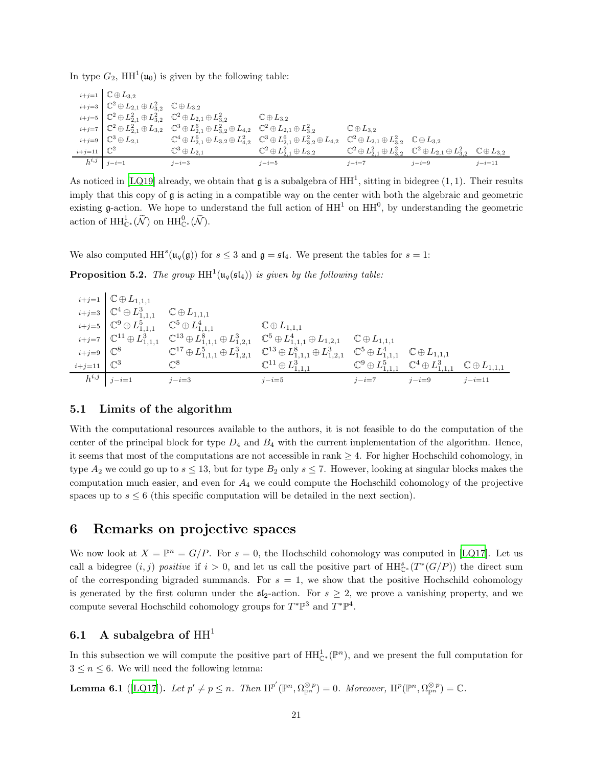In type  $G_2$ ,  $HH^1(\mu_0)$  is given by the following table:

|                         | $i+j=1$ $\mathbb{C} \oplus L_{3,2}$                                                                     |                                                                                                                                                                       |                                              |                                                                            |                                                                                                                             |              |
|-------------------------|---------------------------------------------------------------------------------------------------------|-----------------------------------------------------------------------------------------------------------------------------------------------------------------------|----------------------------------------------|----------------------------------------------------------------------------|-----------------------------------------------------------------------------------------------------------------------------|--------------|
|                         | $i+j=3$ $\mathbb{C}^2 \oplus L_{2,1} \oplus L_{3,2}^2$ $\mathbb{C} \oplus L_{3,2}$                      |                                                                                                                                                                       |                                              |                                                                            |                                                                                                                             |              |
|                         | $i+j=5$ $\mathbb{C}^2 \oplus L_{2,1}^2 \oplus L_{3,2}^2$ $\mathbb{C}^2 \oplus L_{2,1} \oplus L_{3,2}^2$ |                                                                                                                                                                       | $\mathbb{C} \oplus L_{3,2}$                  |                                                                            |                                                                                                                             |              |
|                         |                                                                                                         | $i+j=7$ $\mathbb{C}^2 \oplus L_{2,1}^2 \oplus L_{3,2}$ $\mathbb{C}^3 \oplus L_{2,1}^6 \oplus L_{3,2}^2 \oplus L_{4,2}$ $\mathbb{C}^2 \oplus L_{2,1} \oplus L_{3,2}^2$ |                                              | $\mathbb{C} \oplus L_{3,2}$                                                |                                                                                                                             |              |
|                         | $i+j=9$ $\mathbb{C}^3 \oplus L_{2,1}$                                                                   | $\mathbb{C}^4 \oplus L_{2,1}^6 \oplus L_{3,2} \oplus L_{4,2}^2$ $\mathbb{C}^3 \oplus L_{2,1}^6 \oplus L_{3,2}^2 \oplus L_{4,2}$                                       |                                              | $\mathbb{C}^2\oplus L_{2,1}\oplus L_{3,2}^2\quad \mathbb{C}\oplus L_{3,2}$ |                                                                                                                             |              |
| $i+j=11$ $\mathbb{C}^2$ |                                                                                                         | $\mathbb{C}^3\oplus L_{2,1}$                                                                                                                                          | $\mathbb{C}^2\oplus L_{2,1}^2\oplus L_{3,2}$ |                                                                            | $\mathbb{C}^2 \oplus L_{2,1}^2 \oplus L_{3,2}^2$ $\mathbb{C}^2 \oplus L_{2,1} \oplus L_{3,2}^2$ $\mathbb{C} \oplus L_{3,2}$ |              |
|                         | $h^{i,j}$ $j-i=1$                                                                                       | $j-i=3$                                                                                                                                                               | $j - i = 5$                                  | $j-i=7$                                                                    | $j-i=9$                                                                                                                     | $j - i = 11$ |

As noticed in [\[LQ19](#page-24-6)] already, we obtain that  $\mathfrak g$  is a subalgebra of  $HH^1$ , sitting in bidegree  $(1,1)$ . Their results imply that this copy of g is acting in a compatible way on the center with both the algebraic and geometric existing  $\mathfrak g$ -action. We hope to understand the full action of  $HH^1$  on  $HH^0$ , by understanding the geometric action of  $\mathrm{HH}_{\mathbb{C}^*}^1(\widetilde{\mathcal{N}})$  on  $\mathrm{HH}_{\mathbb{C}^*}^0(\widetilde{\mathcal{N}})$ .

We also computed  $HH^{s}(u_{q}(\mathfrak{g}))$  for  $s \leq 3$  and  $\mathfrak{g} = \mathfrak{sl}_4$ . We present the tables for  $s = 1$ :

**Proposition 5.2.** The group  $HH^1(\mu_q(\mathfrak{sl}_4))$  is given by the following table:

|                         | $i+j=1$ $\mathbb{C} \oplus L_{1,1,1}$                                       |                |                                                                                                                                                                                             |         |         |              |
|-------------------------|-----------------------------------------------------------------------------|----------------|---------------------------------------------------------------------------------------------------------------------------------------------------------------------------------------------|---------|---------|--------------|
|                         | $i+j=3$ $\mathbb{C}^4 \oplus L_{1,1,1}^3$ $\mathbb{C} \oplus L_{1,1,1}$     |                |                                                                                                                                                                                             |         |         |              |
|                         | $i+j=5$ $\mathbb{C}^9 \oplus L_{1,1,1}^5$ $\mathbb{C}^5 \oplus L_{1,1,1}^4$ |                | $\mathbb{C} \oplus L_{1,1,1}$                                                                                                                                                               |         |         |              |
|                         |                                                                             |                | $i+j=7$ $\mathbb{C}^{11} \oplus L_{1,1,1}^3$ $\mathbb{C}^{13} \oplus L_{1,1,1}^8 \oplus L_{1,2,1}^3$ $\mathbb{C}^5 \oplus L_{1,1,1}^4 \oplus L_{1,2,1}$ $\mathbb{C} \oplus L_{1,1,1}$       |         |         |              |
| $i+j=9$ $\mathbb{C}^8$  |                                                                             |                | $\mathbb{C}^{17} \oplus L_{1,1,1}^5 \oplus L_{1,2,1}^3 \quad \mathbb{C}^{13} \oplus L_{1,1,1}^8 \oplus L_{1,2,1}^3 \quad \mathbb{C}^5 \oplus L_{1,1,1}^4 \quad \mathbb{C} \oplus L_{1,1,1}$ |         |         |              |
| $i+j=11$ $\mathbb{C}^3$ |                                                                             | $\mathbb{C}^8$ | $\mathbb{C}^{11} \oplus L_{1,1,1}^3$ $\mathbb{C}^9 \oplus L_{1,1,1}^5$ $\mathbb{C}^4 \oplus L_{1,1,1}^3$ $\mathbb{C} \oplus L_{1,1,1}$                                                      |         |         |              |
|                         | $h^{i,j}$ $j-i=1$                                                           | $j-i=3$        | $j-i=5$                                                                                                                                                                                     | $j-i=7$ | $j-i=9$ | $j - i = 11$ |

#### <span id="page-20-0"></span>5.1 Limits of the algorithm

With the computational resources available to the authors, it is not feasible to do the computation of the center of the principal block for type  $D_4$  and  $B_4$  with the current implementation of the algorithm. Hence, it seems that most of the computations are not accessible in rank  $\geq 4$ . For higher Hochschild cohomology, in type  $A_2$  we could go up to  $s \le 13$ , but for type  $B_2$  only  $s \le 7$ . However, looking at singular blocks makes the computation much easier, and even for  $A_4$  we could compute the Hochschild cohomology of the projective spaces up to  $s \leq 6$  (this specific computation will be detailed in the next section).

## <span id="page-20-1"></span>6 Remarks on projective spaces

We now look at  $X = \mathbb{P}^n = G/P$ . For  $s = 0$ , the Hochschild cohomology was computed in [\[LQ17](#page-24-4)]. Let us call a bidegree  $(i, j)$  positive if  $i > 0$ , and let us call the positive part of  $HH_{\mathbb{C}^*}^s(T^*(G/P))$  the direct sum of the corresponding bigraded summands. For  $s = 1$ , we show that the positive Hochschild cohomology is generated by the first column under the  $\mathfrak{sl}_2$ -action. For  $s \geq 2$ , we prove a vanishing property, and we compute several Hochschild cohomology groups for  $T^*\mathbb{P}^3$  and  $T^*\mathbb{P}^4$ .

#### <span id="page-20-2"></span>6.1 A subalgebra of  $HH<sup>1</sup>$

<span id="page-20-3"></span>In this subsection we will compute the positive part of  $HH_{\mathbb{C}^*}^{1}(\mathbb{P}^n)$ , and we present the full computation for  $3 \leq n \leq 6$ . We will need the following lemma:

**Lemma 6.1** ([\[LQ17\]](#page-24-4)). Let  $p' \neq p \leq n$ . Then  $H^{p'}(\mathbb{P}^n, \Omega_{\mathbb{P}^n}^{\otimes p}) = 0$ . Moreover,  $H^p(\mathbb{P}^n, \Omega_{\mathbb{P}^n}^{\otimes p}) = \mathbb{C}$ .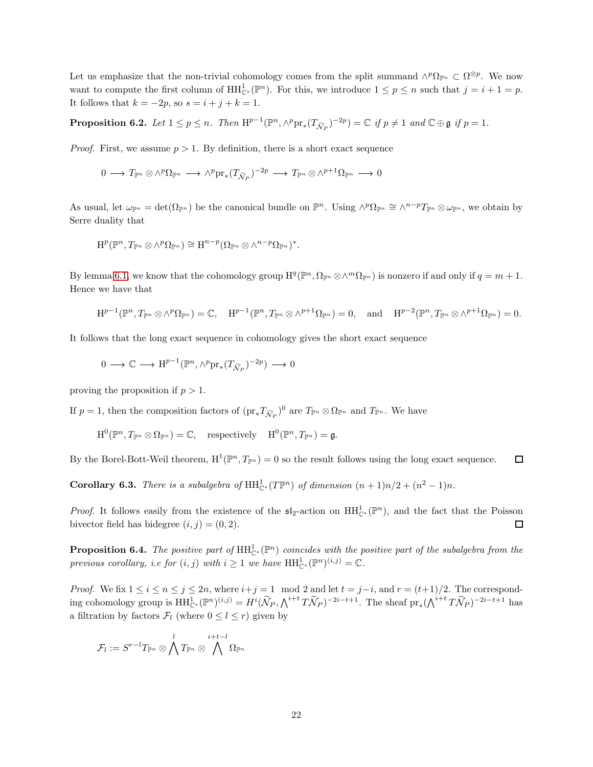Let us emphasize that the non-trivial cohomology comes from the split summand  $\wedge^p \Omega_{\mathbb{P}^n} \subset \Omega^{\otimes p}$ . We now want to compute the first column of  $HH^1_{\mathbb{C}^*}(\mathbb{P}^n)$ . For this, we introduce  $1 \leq p \leq n$  such that  $j = i + 1 = p$ . It follows that  $k = -2p$ , so  $s = i + j + k = 1$ .

<span id="page-21-0"></span>**Proposition 6.2.** Let  $1 \le p \le n$ . Then  $H^{p-1}(\mathbb{P}^n, \wedge^p \text{pr}_*(T_{\tilde{\mathcal{N}}_P})^{-2p}) = \mathbb{C}$  if  $p \ne 1$  and  $\mathbb{C} \oplus \mathfrak{g}$  if  $p = 1$ .

*Proof.* First, we assume  $p > 1$ . By definition, there is a short exact sequence

$$
0 \longrightarrow T_{\mathbb{P}^n} \otimes \wedge^p \Omega_{\mathbb{P}^n} \longrightarrow \wedge^p \mathrm{pr}_*(T_{\widetilde{\mathcal{N}}_P})^{-2p} \longrightarrow T_{\mathbb{P}^n} \otimes \wedge^{p+1} \Omega_{\mathbb{P}^n} \longrightarrow 0
$$

As usual, let  $\omega_{\mathbb{P}^n} = \det(\Omega_{\mathbb{P}^n})$  be the canonical bundle on  $\mathbb{P}^n$ . Using  $\wedge^p \Omega_{\mathbb{P}^n} \cong \wedge^{n-p} T_{\mathbb{P}^n} \otimes \omega_{\mathbb{P}^n}$ , we obtain by Serre duality that

$$
\mathrm{H}^p(\mathbb{P}^n, T_{\mathbb{P}^n} \otimes \wedge^p \Omega_{\mathbb{P}^n}) \cong \mathrm{H}^{n-p}(\Omega_{\mathbb{P}^n} \otimes \wedge^{n-p} \Omega_{\mathbb{P}^n})^*.
$$

By lemma [6.1,](#page-20-3) we know that the cohomology group  $H^q(\mathbb{P}^n, \Omega_{\mathbb{P}^n} \otimes \wedge^m \Omega_{\mathbb{P}^n})$  is nonzero if and only if  $q = m + 1$ . Hence we have that

$$
\mathrm{H}^{p-1}(\mathbb{P}^n, T_{\mathbb{P}^n} \otimes \wedge^p \Omega_{\mathbb{P}^n}) = \mathbb{C}, \quad \mathrm{H}^{p-1}(\mathbb{P}^n, T_{\mathbb{P}^n} \otimes \wedge^{p+1} \Omega_{\mathbb{P}^n}) = 0, \quad \text{and} \quad \mathrm{H}^{p-2}(\mathbb{P}^n, T_{\mathbb{P}^n} \otimes \wedge^{p+1} \Omega_{\mathbb{P}^n}) = 0.
$$

It follows that the long exact sequence in cohomology gives the short exact sequence

$$
0\longrightarrow \mathbb{C}\longrightarrow \mathrm{H}^{p-1}(\mathbb{P}^n, \wedge^p\mathrm{pr}_*(T_{\widetilde{\mathcal{N}}_P})^{-2p})\longrightarrow 0
$$

proving the proposition if  $p > 1$ .

If  $p = 1$ , then the composition factors of  $(\text{pr}_* T_{\tilde{\mathcal{N}}_P})^0$  are  $T_{\mathbb{P}^n} \otimes \Omega_{\mathbb{P}^n}$  and  $T_{\mathbb{P}^n}$ . We have

$$
\mathrm{H}^0(\mathbb{P}^n, T_{\mathbb{P}^n} \otimes \Omega_{\mathbb{P}^n}) = \mathbb{C}, \quad \text{respectively} \quad \mathrm{H}^0(\mathbb{P}^n, T_{\mathbb{P}^n}) = \mathfrak{g}.
$$

By the Borel-Bott-Weil theorem,  $H^1(\mathbb{P}^n, T_{\mathbb{P}^n}) = 0$  so the result follows using the long exact sequence.  $\Box$ 

**Corollary 6.3.** There is a subalgebra of  $HH_{\mathbb{C}^*}^1(T\mathbb{P}^n)$  of dimension  $(n+1)n/2 + (n^2-1)n$ .

*Proof.* It follows easily from the existence of the  $\mathfrak{sl}_2$ -action on  $HH^1_{\mathbb{C}^*}(\mathbb{P}^n)$ , and the fact that the Poisson bivector field has bidegree  $(i, j) = (0, 2)$ .  $\Box$ 

**Proposition 6.4.** The positive part of  $HH_{\mathbb{C}^*}^{1}(\mathbb{P}^n)$  coincides with the positive part of the subalgebra from the previous corollary, i.e for  $(i, j)$  with  $i \geq 1$  we have  $HH^1_{\mathbb{C}^*}(\mathbb{P}^n)^{(i,j)} = \mathbb{C}$ .

*Proof.* We fix  $1 \le i \le n \le j \le 2n$ , where  $i+j=1 \mod 2$  and let  $t = j-i$ , and  $r = (t+1)/2$ . The corresponding cohomology group is  $HH_{\mathbb{C}^*}^{1}(\mathbb{P}^n)^{(i,j)} = H^i(\widetilde{\mathcal{N}}_P, \bigwedge^{i+t}T\widetilde{\mathcal{N}}_P)^{-2i-t+1}$ . The sheaf  $\text{pr}_*(\bigwedge^{i+t}T\widetilde{\mathcal{N}}_P)^{-2i-t+1}$  has a filtration by factors  $\mathcal{F}_l$  (where  $0 \leq l \leq r$ ) given by

$$
\mathcal{F}_l:=S^{r-l}T_{\mathbb{P}^n}\otimes\bigwedge^l T_{\mathbb{P}^n}\otimes\bigwedge^{i+t-l}\Omega_{\mathbb{P}^n}
$$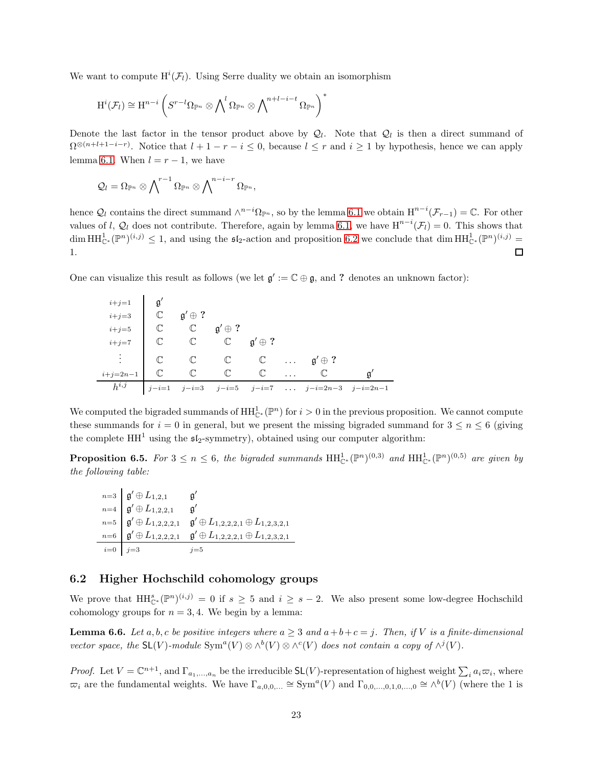We want to compute  $H^i(\mathcal{F}_l)$ . Using Serre duality we obtain an isomorphism

$$
\mathrm{H}^i(\mathcal{F}_l)\cong \mathrm{H}^{n-i}\left(S^{r-l}\Omega_{\mathbb{P}^n}\otimes \bigwedge\nolimits^l\Omega_{\mathbb{P}^n}\otimes \bigwedge\nolimits^{n+l-i-t}\Omega_{\mathbb{P}^n}\right)^*
$$

Denote the last factor in the tensor product above by  $\mathcal{Q}_l$ . Note that  $\mathcal{Q}_l$  is then a direct summand of  $\Omega^{\otimes(n+l+1-i-r)}$ . Notice that  $l+1-r-i \leq 0$ , because  $l \leq r$  and  $i \geq 1$  by hypothesis, hence we can apply lemma [6.1.](#page-20-3) When  $l = r - 1$ , we have

$$
\mathcal{Q}_l = \Omega_{\mathbb{P}^n} \otimes \bigwedge\nolimits^{r-1} \Omega_{\mathbb{P}^n} \otimes \bigwedge\nolimits^{n-i-r} \Omega_{\mathbb{P}^n},
$$

hence  $\mathcal{Q}_l$  contains the direct summand  $\wedge^{n-i}\Omega_{\mathbb{P}^n}$ , so by the lemma [6.1](#page-20-3) we obtain  $\text{H}^{n-i}(\mathcal{F}_{r-1})=\mathbb{C}$ . For other values of l,  $\mathcal{Q}_l$  does not contribute. Therefore, again by lemma [6.1,](#page-20-3) we have  $H^{n-i}(\mathcal{F}_l)=0$ . This shows that  $\dim \mathrm{HH}_{\mathbb{C}^*}^1(\mathbb{P}^n)^{(i,j)} \leq 1$ , and using the  $\mathfrak{sl}_2$ -action and proposition [6.2](#page-21-0) we conclude that  $\dim \mathrm{HH}_{\mathbb{C}^*}^1(\mathbb{P}^n)^{(i,j)} =$ 1. □

One can visualize this result as follows (we let  $\mathfrak{g}' := \mathbb{C} \oplus \mathfrak{g}$ , and ? denotes an unknown factor):

| $i+j=1$ $\beta'$                   |              |                                                                                |  |                                                       |  |
|------------------------------------|--------------|--------------------------------------------------------------------------------|--|-------------------------------------------------------|--|
| $i+j=3$ $\qquad \qquad \mathbb{C}$ |              | $\mathfrak{g}'\oplus ?$                                                        |  |                                                       |  |
| $i+j=5$                            | $\mathbb{C}$ | $\mathbb{C}$ $\mathfrak{g}' \oplus ?$                                          |  |                                                       |  |
| $i+j=7$                            |              | $\mathbb{C} \qquad \mathbb{C} \qquad \mathbb{C} \qquad \mathfrak{g}' \oplus ?$ |  |                                                       |  |
|                                    |              |                                                                                |  |                                                       |  |
| $i+j=2n-1$                         |              |                                                                                |  |                                                       |  |
| $h^{i,j}$                          |              |                                                                                |  | $j-i=1$ $j-i=3$ $j-i=5$ $j-i=7$ $j-i=2n-3$ $j-i=2n-1$ |  |

We computed the bigraded summands of  $HH^1_{\mathbb{C}^*}(\mathbb{P}^n)$  for  $i>0$  in the previous proposition. We cannot compute these summands for  $i = 0$  in general, but we present the missing bigraded summand for  $3 \leq n \leq 6$  (giving the complete  $HH<sup>1</sup>$  using the  $\mathfrak{sl}_2$ -symmetry), obtained using our computer algorithm:

**Proposition 6.5.** For  $3 \le n \le 6$ , the bigraded summands  $HH_{\mathbb{C}^*}^{1}(\mathbb{P}^n)^{(0,3)}$  and  $HH_{\mathbb{C}^*}^{1}(\mathbb{P}^n)^{(0,5)}$  are given by the following table:

$$
\begin{array}{ll}\n & n=3 \\
 & \mathfrak{g}' \oplus L_{1,2,1} \\
 & \mathfrak{g}' \oplus L_{1,2,2,1} \\
 & \mathfrak{g}' \oplus L_{1,2,2,2,1} \\
 & \mathfrak{g}' \oplus L_{1,2,2,2,1} \\
 & \mathfrak{g}' \oplus L_{1,2,2,2,1} \\
 & \mathfrak{g}' \oplus L_{1,2,2,2,1} \\
 & \mathfrak{g}' \oplus L_{1,2,2,2,1} \oplus L_{1,2,2,2,1} \\
 & \mathfrak{g}' \oplus L_{1,2,2,2,1} \\
 & \mathfrak{g}' \oplus L_{1,2,2,2,1} \\
 & \mathfrak{g}' \oplus L_{1,2,2,2,1}\n \end{array}
$$

#### <span id="page-22-0"></span>6.2 Higher Hochschild cohomology groups

<span id="page-22-1"></span>We prove that  $HH^s_{\mathbb{C}^*}(\mathbb{P}^n)^{(i,j)} = 0$  if  $s \geq 5$  and  $i \geq s-2$ . We also present some low-degree Hochschild cohomology groups for  $n = 3, 4$ . We begin by a lemma:

**Lemma 6.6.** Let a, b, c be positive integers where  $a \geq 3$  and  $a+b+c=j$ . Then, if V is a finite-dimensional vector space, the  $SL(V)$ -module  $Sym^a(V) \otimes \wedge^b(V) \otimes \wedge^c(V)$  does not contain a copy of  $\wedge^j(V)$ .

*Proof.* Let  $V = \mathbb{C}^{n+1}$ , and  $\Gamma_{a_1,...,a_n}$  be the irreducible  $SL(V)$ -representation of highest weight  $\sum_i a_i \varpi_i$ , where  $\overline{\omega}_i$  are the fundamental weights. We have  $\Gamma_{a,0,0,\dots} \cong \text{Sym}^a(V)$  and  $\Gamma_{0,0,\dots,0,1,0,\dots,0} \cong \wedge^b(V)$  (where the 1 is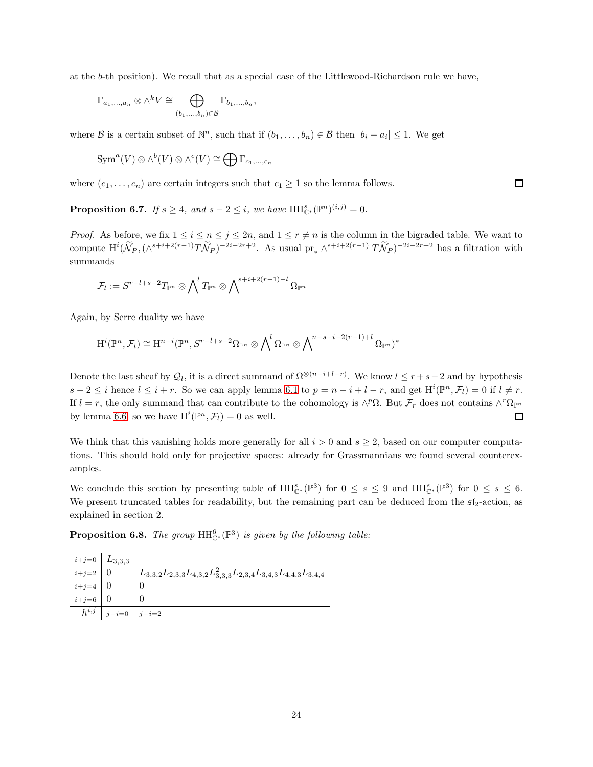at the b-th position). We recall that as a special case of the Littlewood-Richardson rule we have,

$$
\Gamma_{a_1,\ldots,a_n} \otimes \wedge^k V \cong \bigoplus_{(b_1,\ldots,b_n)\in \mathcal{B}} \Gamma_{b_1,\ldots,b_n},
$$

where  $\mathcal B$  is a certain subset of  $\mathbb N^n$ , such that if  $(b_1,\ldots,b_n)\in\mathcal B$  then  $|b_i-a_i|\leq 1$ . We get

$$
\text{Sym}^a(V) \otimes \wedge^b(V) \otimes \wedge^c(V) \cong \bigoplus \Gamma_{c_1,\dots,c_n}
$$

where  $(c_1, \ldots, c_n)$  are certain integers such that  $c_1 \geq 1$  so the lemma follows.

**Proposition 6.7.** If  $s \geq 4$ , and  $s - 2 \leq i$ , we have  $HH_{\mathbb{C}^*}^s(\mathbb{P}^n)^{(i,j)} = 0$ .

*Proof.* As before, we fix  $1 \le i \le n \le j \le 2n$ , and  $1 \le r \ne n$  is the column in the bigraded table. We want to compute  $\mathrm{H}^i(\widetilde{\mathcal{N}}_P,(\wedge^{s+i+2(r-1)}T\widetilde{\mathcal{N}}_P)^{-2i-2r+2}$ . As usual  $\mathrm{pr}_*\wedge^{s+i+2(r-1)}T\widetilde{\mathcal{N}}_P)^{-2i-2r+2}$  has a filtration with summands

$$
\mathcal{F}_l:=S^{r-l+s-2}T_{\mathbb{P}^n}\otimes \bigwedge\nolimits^l T_{\mathbb{P}^n}\otimes \bigwedge\nolimits^{s+i+2(r-1)-l}\Omega_{\mathbb{P}^n}
$$

Again, by Serre duality we have

$$
H^{i}(\mathbb{P}^n, \mathcal{F}_l) \cong H^{n-i}(\mathbb{P}^n, S^{r-l+s-2}\Omega_{\mathbb{P}^n} \otimes \bigwedge\nolimits^l \Omega_{\mathbb{P}^n} \otimes \bigwedge\nolimits^{n-s-i-2(r-1)+l} \Omega_{\mathbb{P}^n})^*
$$

Denote the last sheaf by  $Q_l$ , it is a direct summand of  $\Omega^{\otimes (n-i+l-r)}$ . We know  $l \leq r+s-2$  and by hypothesis  $s-2 \leq i$  hence  $l \leq i+r$ . So we can apply lemma [6.1](#page-20-3) to  $p = n-i+l-r$ , and get  $\mathrm{H}^{i}(\mathbb{P}^{n},\mathcal{F}_{l})=0$  if  $l \neq r$ . If  $l = r$ , the only summand that can contribute to the cohomology is  $\wedge^p \Omega$ . But  $\mathcal{F}_r$  does not contains  $\wedge^r \Omega_{\mathbb{P}^n}$ by lemma [6.6,](#page-22-1) so we have  $H^i(\mathbb{P}^n, \mathcal{F}_l) = 0$  as well. □

We think that this vanishing holds more generally for all  $i > 0$  and  $s \geq 2$ , based on our computer computations. This should hold only for projective spaces: already for Grassmannians we found several counterexamples.

We conclude this section by presenting table of  $HH_{\mathbb{C}^*}^s(\mathbb{P}^3)$  for  $0 \leq s \leq 9$  and  $HH_{\mathbb{C}^*}^s(\mathbb{P}^3)$  for  $0 \leq s \leq 6$ . We present truncated tables for readability, but the remaining part can be deduced from the  $\mathfrak{sl}_2$ -action, as explained in section 2.

**Proposition 6.8.** The group  $HH_{\mathbb{C}^*}^6(\mathbb{P}^3)$  is given by the following table:

 $i+j=0$   $L_{3,3,3}$  $\left.\begin{array}{l} i+j=2 \end{array} \right|\; 0 \qquad\quad L_{3,3,2}L_{2,3,3}L_{4,3,2}L_{3,3,3}^2L_{2,3,4}L_{3,4,3}L_{3,4,4}L_{3,4,3}L_{3,4,4}$  $i+j=4$  0 0  $i+j=6$  0 0  $h^{i,j}$  j−i=0 j−i=2

 $\Box$